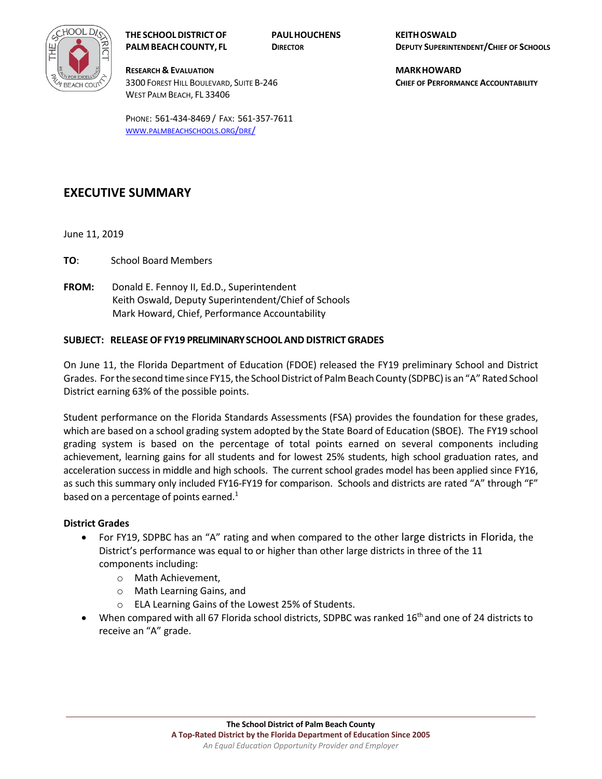

**THE SCHOOL DISTRICT OF PAUL HOUCHENS KEITH OSWALD**

**RESEARCH & EVALUATION MARK HOWARD** 3300 FOREST HILL BOULEVARD, SUITE B‐246 **CHIEF OF PERFORMANCE ACCOUNTABILITY** WEST PALM BEACH, FL 33406

PHONE: 561‐434‐8469 / FAX: 561‐357‐7611 WWW.PALMBEACHSCHOOLS.ORG/DRE/

## **EXECUTIVE SUMMARY**

June 11, 2019

- **TO**: School Board Members
- **FROM:** Donald E. Fennoy II, Ed.D., Superintendent Keith Oswald, Deputy Superintendent/Chief of Schools Mark Howard, Chief, Performance Accountability

### **SUBJECT: RELEASE OF FY19 PRELIMINARY SCHOOL AND DISTRICT GRADES**

On June 11, the Florida Department of Education (FDOE) released the FY19 preliminary School and District Grades. For the second time since FY15, the School District of Palm Beach County (SDPBC) is an "A" Rated School District earning 63% of the possible points.

Student performance on the Florida Standards Assessments (FSA) provides the foundation for these grades, which are based on a school grading system adopted by the State Board of Education (SBOE). The FY19 school grading system is based on the percentage of total points earned on several components including achievement, learning gains for all students and for lowest 25% students, high school graduation rates, and acceleration success in middle and high schools. The current school grades model has been applied since FY16, as such this summary only included FY16-FY19 for comparison. Schools and districts are rated "A" through "F" based on a percentage of points earned.<sup>1</sup>

#### **District Grades**

- For FY19, SDPBC has an "A" rating and when compared to the other large districts in Florida, the District's performance was equal to or higher than other large districts in three of the 11 components including:
	- o Math Achievement,
	- o Math Learning Gains, and
	- o ELA Learning Gains of the Lowest 25% of Students.
- When compared with all 67 Florida school districts, SDPBC was ranked  $16<sup>th</sup>$  and one of 24 districts to receive an "A" grade.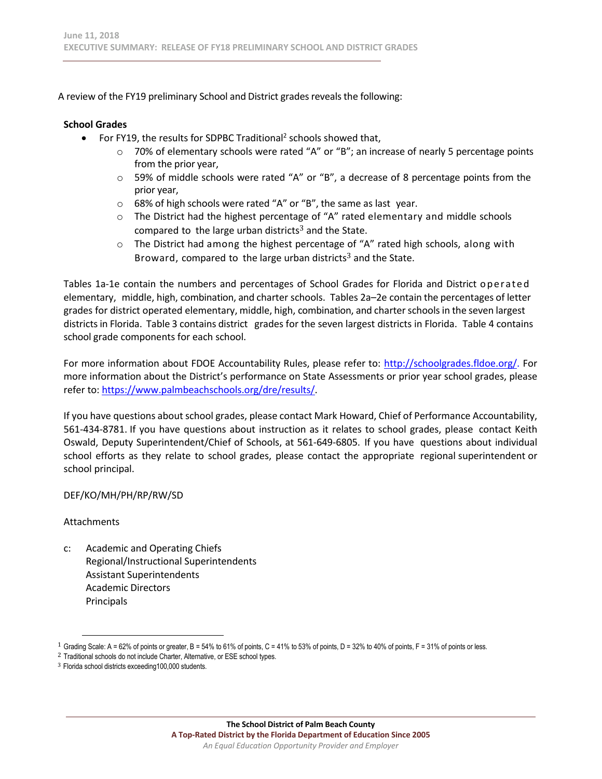A review of the FY19 preliminary School and District grades reveals the following:

### **School Grades**

- For FY19, the results for SDPBC Traditional<sup>2</sup> schools showed that,
	- $\circ$  70% of elementary schools were rated "A" or "B"; an increase of nearly 5 percentage points from the prior year,
	- $\circ$  59% of middle schools were rated "A" or "B", a decrease of 8 percentage points from the prior year,
	- o 68% of high schools were rated "A" or "B", the same as last year.
	- $\circ$  The District had the highest percentage of "A" rated elementary and middle schools compared to the large urban districts<sup>3</sup> and the State.
	- $\circ$  The District had among the highest percentage of "A" rated high schools, along with Broward, compared to the large urban districts<sup>3</sup> and the State.

Tables 1a-1e contain the numbers and percentages of School Grades for Florida and District operated elementary, middle, high, combination, and charter schools. Tables 2a–2e contain the percentages of letter grades for district operated elementary, middle, high, combination, and charter schools in the seven largest districts in Florida. Table 3 contains district grades for the seven largest districts in Florida. Table 4 contains school grade components for each school.

For more information about FDOE Accountability Rules, please refer to: http://schoolgrades.fldoe.org/. For more information about the District's performance on State Assessments or prior year school grades, please refer to: https://www.palmbeachschools.org/dre/results/.

If you have questions about school grades, please contact Mark Howard, Chief of Performance Accountability, 561‐434‐8781. If you have questions about instruction as it relates to school grades, please contact Keith Oswald, Deputy Superintendent/Chief of Schools, at 561‐649‐6805. If you have questions about individual school efforts as they relate to school grades, please contact the appropriate regional superintendent or school principal.

### DEF/KO/MH/PH/RP/RW/SD

### Attachments

c: Academic and Operating Chiefs Regional/Instructional Superintendents Assistant Superintendents Academic Directors Principals

<sup>1</sup> Grading Scale: A = 62% of points or greater, B = 54% to 61% of points, C = 41% to 53% of points, D = 32% to 40% of points, F = 31% of points or less.

<sup>&</sup>lt;sup>2</sup> Traditional schools do not include Charter, Alternative, or ESE school types.

<sup>3</sup> Florida school districts exceeding100,000 students.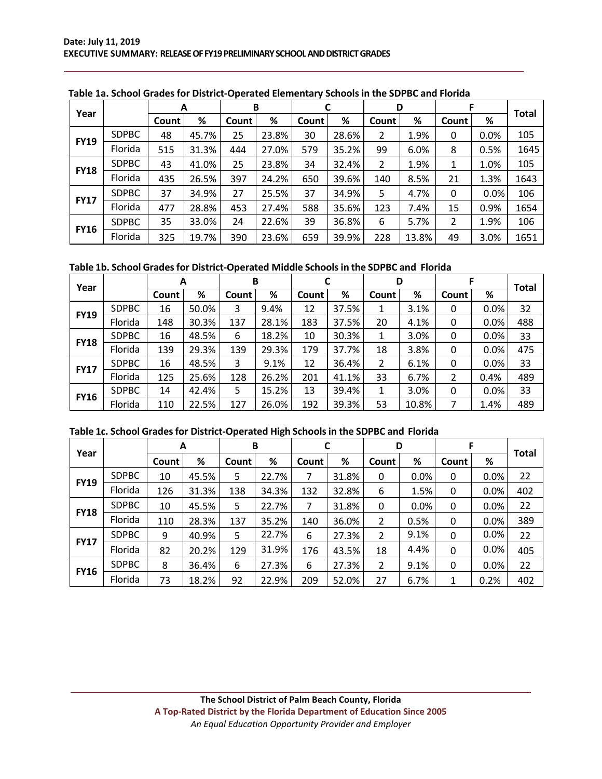| Year        |              | A     |       |       | B     |       |       | D     |       |       |      | Total |
|-------------|--------------|-------|-------|-------|-------|-------|-------|-------|-------|-------|------|-------|
|             |              | Count | %     | Count | %     | Count | %     | Count | %     | Count | %    |       |
| <b>FY19</b> | <b>SDPBC</b> | 48    | 45.7% | 25    | 23.8% | 30    | 28.6% | 2     | 1.9%  | 0     | 0.0% | 105   |
|             | Florida      | 515   | 31.3% | 444   | 27.0% | 579   | 35.2% | 99    | 6.0%  | 8     | 0.5% | 1645  |
| <b>FY18</b> | <b>SDPBC</b> | 43    | 41.0% | 25    | 23.8% | 34    | 32.4% | 2     | 1.9%  | 1     | 1.0% | 105   |
|             | Florida      | 435   | 26.5% | 397   | 24.2% | 650   | 39.6% | 140   | 8.5%  | 21    | 1.3% | 1643  |
| <b>FY17</b> | <b>SDPBC</b> | 37    | 34.9% | 27    | 25.5% | 37    | 34.9% | 5     | 4.7%  | 0     | 0.0% | 106   |
|             | Florida      | 477   | 28.8% | 453   | 27.4% | 588   | 35.6% | 123   | 7.4%  | 15    | 0.9% | 1654  |
| <b>FY16</b> | <b>SDPBC</b> | 35    | 33.0% | 24    | 22.6% | 39    | 36.8% | 6     | 5.7%  | 2     | 1.9% | 106   |
|             | Florida      | 325   | 19.7% | 390   | 23.6% | 659   | 39.9% | 228   | 13.8% | 49    | 3.0% | 1651  |

 **Table 1a. School Grades for District‐Operated Elementary Schools in the SDPBC and Florida**

**Table 1b. School Grades for District‐Operated Middle Schools in the SDPBC and Florida**

| Year        |              | A     |       | B     |       |       |       | D     |       |       |      | <b>Total</b> |
|-------------|--------------|-------|-------|-------|-------|-------|-------|-------|-------|-------|------|--------------|
|             |              | Count | %     | Count | %     | Count | %     | Count | %     | Count | %    |              |
| <b>FY19</b> | <b>SDPBC</b> | 16    | 50.0% | 3     | 9.4%  | 12    | 37.5% |       | 3.1%  | 0     | 0.0% | 32           |
|             | Florida      | 148   | 30.3% | 137   | 28.1% | 183   | 37.5% | 20    | 4.1%  | 0     | 0.0% | 488          |
| <b>FY18</b> | <b>SDPBC</b> | 16    | 48.5% | 6     | 18.2% | 10    | 30.3% |       | 3.0%  | 0     | 0.0% | 33           |
|             | Florida      | 139   | 29.3% | 139   | 29.3% | 179   | 37.7% | 18    | 3.8%  | 0     | 0.0% | 475          |
| <b>FY17</b> | <b>SDPBC</b> | 16    | 48.5% | 3     | 9.1%  | 12    | 36.4% | 2     | 6.1%  | 0     | 0.0% | 33           |
|             | Florida      | 125   | 25.6% | 128   | 26.2% | 201   | 41.1% | 33    | 6.7%  | 2     | 0.4% | 489          |
| <b>FY16</b> | <b>SDPBC</b> | 14    | 42.4% | 5     | 15.2% | 13    | 39.4% |       | 3.0%  | 0     | 0.0% | 33           |
|             | Florida      | 110   | 22.5% | 127   | 26.0% | 192   | 39.3% | 53    | 10.8% | 7     | 1.4% | 489          |

| Table 1c. School Grades for District-Operated High Schools in the SDPBC and Florida |  |
|-------------------------------------------------------------------------------------|--|
|-------------------------------------------------------------------------------------|--|

|             |              | A     |       | В     |       | C     |       | D              |      | F     |         |       |
|-------------|--------------|-------|-------|-------|-------|-------|-------|----------------|------|-------|---------|-------|
| Year        |              | Count | %     | Count | %     | Count | %     | Count          | %    | Count | %       | Total |
| <b>FY19</b> | <b>SDPBC</b> | 10    | 45.5% | 5     | 22.7% | 7     | 31.8% | 0              | 0.0% | 0     | $0.0\%$ | 22    |
|             | Florida      | 126   | 31.3% | 138   | 34.3% | 132   | 32.8% | 6              | 1.5% | 0     | $0.0\%$ | 402   |
|             | <b>SDPBC</b> | 10    | 45.5% | 5     | 22.7% | 7     | 31.8% | 0              | 0.0% | 0     | 0.0%    | 22    |
| <b>FY18</b> | Florida      | 110   | 28.3% | 137   | 35.2% | 140   | 36.0% | $\overline{2}$ | 0.5% | 0     | $0.0\%$ | 389   |
| <b>FY17</b> | <b>SDPBC</b> | 9     | 40.9% | 5     | 22.7% | 6     | 27.3% | 2              | 9.1% | 0     | 0.0%    | 22    |
|             | Florida      | 82    | 20.2% | 129   | 31.9% | 176   | 43.5% | 18             | 4.4% | 0     | 0.0%    | 405   |
| <b>FY16</b> | <b>SDPBC</b> | 8     | 36.4% | 6     | 27.3% | 6     | 27.3% | 2              | 9.1% | 0     | 0.0%    | 22    |
|             | Florida      | 73    | 18.2% | 92    | 22.9% | 209   | 52.0% | 27             | 6.7% | 1     | 0.2%    | 402   |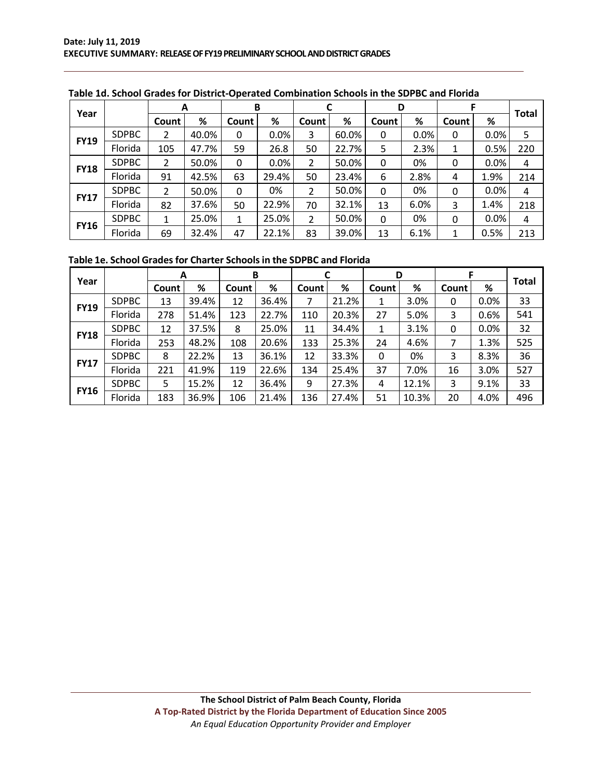| Year        |              |       | A     | В            |       |                |       | D        |      |       |      | <b>Total</b> |
|-------------|--------------|-------|-------|--------------|-------|----------------|-------|----------|------|-------|------|--------------|
|             |              | Count | %     | <b>Count</b> | %     | Count          | %     | Count    | %    | Count | %    |              |
| <b>FY19</b> | <b>SDPBC</b> | 2     | 40.0% | 0            | 0.0%  | 3              | 60.0% | 0        | 0.0% | 0     | 0.0% | 5            |
|             | Florida      | 105   | 47.7% | 59           | 26.8  | 50             | 22.7% | 5        | 2.3% | 1     | 0.5% | 220          |
| <b>FY18</b> | <b>SDPBC</b> | 2     | 50.0% | 0            | 0.0%  | 2              | 50.0% | 0        | 0%   | 0     | 0.0% | 4            |
|             | Florida      | 91    | 42.5% | 63           | 29.4% | 50             | 23.4% | 6        | 2.8% | 4     | 1.9% | 214          |
| <b>FY17</b> | <b>SDPBC</b> | 2     | 50.0% | 0            | 0%    | 2              | 50.0% | 0        | 0%   | 0     | 0.0% | 4            |
|             | Florida      | 82    | 37.6% | 50           | 22.9% | 70             | 32.1% | 13       | 6.0% | 3     | 1.4% | 218          |
| <b>FY16</b> | <b>SDPBC</b> | 1     | 25.0% | 1            | 25.0% | $\overline{2}$ | 50.0% | $\Omega$ | 0%   | 0     | 0.0% | 4            |
|             | Florida      | 69    | 32.4% | 47           | 22.1% | 83             | 39.0% | 13       | 6.1% | 1     | 0.5% | 213          |

 **Table 1e. School Grades for Charter Schools in the SDPBC and Florida**

|             |              | A     |       |       | B     |       |       | D     |       | c     |      |              |
|-------------|--------------|-------|-------|-------|-------|-------|-------|-------|-------|-------|------|--------------|
| Year        |              | Count | %     | Count | %     | Count | %     | Count | %     | Count | %    | <b>Total</b> |
|             | <b>SDPBC</b> | 13    | 39.4% | 12    | 36.4% | 7     | 21.2% | 1     | 3.0%  | 0     | 0.0% | 33           |
| <b>FY19</b> | Florida      | 278   | 51.4% | 123   | 22.7% | 110   | 20.3% | 27    | 5.0%  | 3     | 0.6% | 541          |
|             | <b>SDPBC</b> | 12    | 37.5% | 8     | 25.0% | 11    | 34.4% | 1     | 3.1%  | 0     | 0.0% | 32           |
| <b>FY18</b> | Florida      | 253   | 48.2% | 108   | 20.6% | 133   | 25.3% | 24    | 4.6%  | 7     | 1.3% | 525          |
|             | <b>SDPBC</b> | 8     | 22.2% | 13    | 36.1% | 12    | 33.3% | 0     | 0%    | 3     | 8.3% | 36           |
| <b>FY17</b> | Florida      | 221   | 41.9% | 119   | 22.6% | 134   | 25.4% | 37    | 7.0%  | 16    | 3.0% | 527          |
|             | <b>SDPBC</b> | 5     | 15.2% | 12    | 36.4% | 9     | 27.3% | 4     | 12.1% | 3     | 9.1% | 33           |
| <b>FY16</b> | Florida      | 183   | 36.9% | 106   | 21.4% | 136   | 27.4% | 51    | 10.3% | 20    | 4.0% | 496          |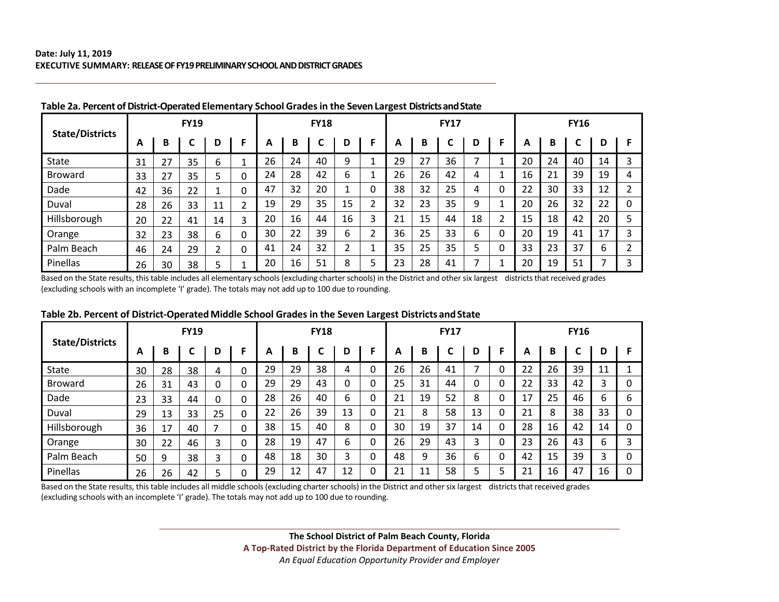|                        |    |    | <b>FY19</b> |    |   |    |    | <b>FY18</b> |    |   |    |    | <b>FY17</b> |    |   |    |    | <b>FY16</b> |    |   |
|------------------------|----|----|-------------|----|---|----|----|-------------|----|---|----|----|-------------|----|---|----|----|-------------|----|---|
| <b>State/Districts</b> | А  | В  | C           | D  | F | A  | B  |             | D  |   | A  | B  |             | D  |   | A  | B  |             | D  |   |
| State                  | 31 | 27 | 35          | 6  |   | 26 | 24 | 40          | 9  |   | 29 | 27 | 36          | ⇁  |   | 20 | 24 | 40          | 14 |   |
| <b>Broward</b>         | 33 | 27 | 35          | 5  | 0 | 24 | 28 | 42          | 6  |   | 26 | 26 | 42          | 4  |   | 16 | 21 | 39          | 19 | 4 |
| Dade                   | 42 | 36 | 22          |    | 0 | 47 | 32 | 20          |    | 0 | 38 | 32 | 25          | 4  | 0 | 22 | 30 | 33          | 12 |   |
| Duval                  | 28 | 26 | 33          | 11 | ำ | 19 | 29 | 35          | 15 | C | 32 | 23 | 35          | 9  |   | 20 | 26 | 32          | 22 | 0 |
| Hillsborough           | 20 | 22 | 41          | 14 | 3 | 20 | 16 | 44          | 16 | 3 | 21 | 15 | 44          | 18 | C | 15 | 18 | 42          | 20 |   |
| Orange                 | 32 | 23 | 38          | 6  | 0 | 30 | 22 | 39          | 6  | ∍ | 36 | 25 | 33          | 6  | 0 | 20 | 19 | 41          | 17 |   |
| Palm Beach             | 46 | 24 | 29          | C. | 0 | 41 | 24 | 32          | າ  |   | 35 | 25 | 35          | 5  | 0 | 33 | 23 | 37          | 6  |   |
| Pinellas               | 26 | 30 | 38          |    |   | 20 | 16 | 51          | 8  |   | 23 | 28 | 41          | ⇁  |   | 20 | 19 | 51          |    | 3 |

#### **Table 2a. Percent of District‐Operated Elementary School Grades in the Seven Largest Districts and State**

Based on the State results, this table includes all elementary schools (excluding charter schools) in the District and other six largest districts that received grades (excluding schools with an incomplete 'I' grade). The totals may not add up to 100 due to rounding.

|                        |    |    | <b>FY19</b> |    |          |    |    | <b>FY18</b> |    |   |    |    | <b>FY17</b> |    |   |    |    | <b>FY16</b> |    |   |
|------------------------|----|----|-------------|----|----------|----|----|-------------|----|---|----|----|-------------|----|---|----|----|-------------|----|---|
| <b>State/Districts</b> | A  | В  | C           | D  | F        | А  | В  |             | D  |   | A  | в  |             | D  |   | А  | B  |             | D  |   |
| State                  | 30 | 28 | 38          | 4  | 0        | 29 | 29 | 38          | 4  | 0 | 26 | 26 | 41          | ⇁  |   | 22 | 26 | 39          | 11 |   |
| <b>Broward</b>         | 26 | 31 | 43          |    | 0        | 29 | 29 | 43          | 0  | 0 | 25 | 31 | 44          | 0  | 0 | 22 | 33 | 42          | 3  | 0 |
| Dade                   | 23 | 33 | 44          |    | $\Omega$ | 28 | 26 | 40          | 6  | 0 | 21 | 19 | 52          | 8  |   | 17 | 25 | 46          | 6  | 6 |
| Duval                  | 29 | 13 | 33          | 25 | 0        | 22 | 26 | 39          | 13 | 0 | 21 | 8  | 58          | 13 | 0 | 21 | 8  | 38          | 33 | 0 |
| Hillsborough           | 36 | 17 | 40          |    | $\Omega$ | 38 | 15 | 40          | 8  | 0 | 30 | 19 | 37          | 14 | 0 | 28 | 16 | 42          | 14 | 0 |
| Orange                 | 30 | 22 | 46          |    | 0        | 28 | 19 | 47          | 6  | 0 | 26 | 29 | 43          | 3  |   | 23 | 26 | 43          | 6  | ∍ |
| Palm Beach             | 50 | 9  | 38          |    | $\Omega$ | 48 | 18 | 30          | 3  | 0 | 48 | 9  | 36          | 6  |   | 42 | 15 | 39          | 3  | 0 |
| Pinellas               | 26 | 26 | 42          |    | 0        | 29 | 12 | 47          | 12 | 0 | 21 | 11 | 58          | 5  |   | 21 | 16 | 47          | 16 | 0 |

# **Table 2b. Percent of District-Operated Middle School Grades in the Seven Largest Districts and State**

Based on the State results, this table includes all middle schools (excluding charter schools) in the District and other six largest districts that received grades (excluding schools with an incomplete 'I' grade). The totals may not add up to 100 due to rounding.

> **The School District of Palm Beach County, Florida A Top‐Rated District by the Florida Department of Education Since 2005**  *An Equal Education Opportunity Provider and Employer*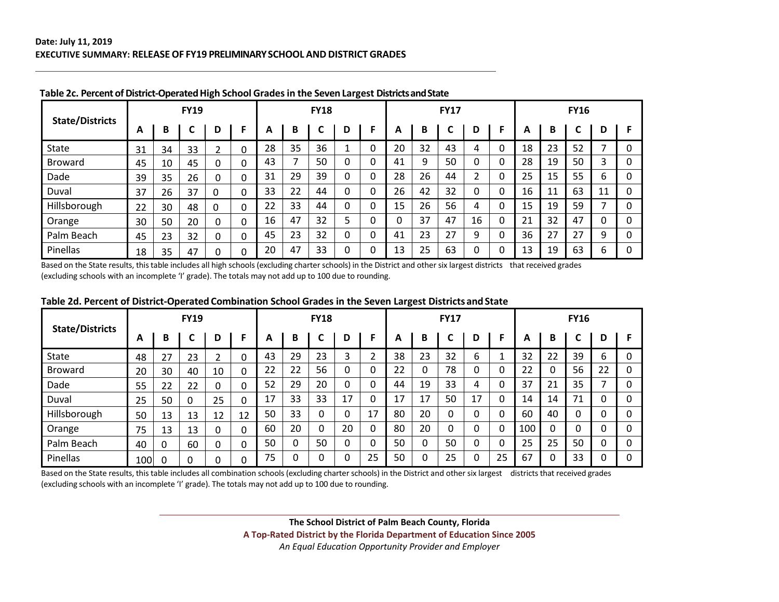|                        |    |    | <b>FY19</b> |          |             |    |                          | <b>FY18</b> |                          |          |    |    | <b>FY17</b> |    |          |    |    | <b>FY16</b> |    |   |
|------------------------|----|----|-------------|----------|-------------|----|--------------------------|-------------|--------------------------|----------|----|----|-------------|----|----------|----|----|-------------|----|---|
| <b>State/Districts</b> | A  | В  |             | D        | F           | A  | B                        |             | D                        | F        | А  | B  |             | D  | F        | A  | В  |             | D  |   |
| <b>State</b>           | 31 | 34 | 33          | ำ        | 0           | 28 | 35                       | 36          | $\overline{\phantom{a}}$ | 0        | 20 | 32 | 43          | 4  | ∩        | 18 | 23 | 52          |    | υ |
| Broward                | 45 | 10 | 45          | 0        | $\mathbf 0$ | 43 | $\overline{\phantom{a}}$ | 50          | 0                        | 0        | 41 | 9  | 50          | 0  | 0        | 28 | 19 | 50          |    |   |
| Dade                   | 39 | 35 | 26          | $\Omega$ | 0           | 31 | 29                       | 39          | $\mathbf{0}$             | 0        | 28 | 26 | 44          | C  | 0        | 25 | 15 | 55          | 6  |   |
| Duval                  | 37 | 26 | 37          | $\Omega$ | $\Omega$    | 33 | 22                       | 44          | 0                        | 0        | 26 | 42 | 32          | 0  | 0        | 16 | 11 | 63          | 11 | 0 |
| Hillsborough           | 22 | 30 | 48          | 0        | $\mathbf 0$ | 22 | 33                       | 44          | 0                        | ∩        | 15 | 26 | 56          | 4  | 0        | 15 | 19 | 59          | ⇁  |   |
| Orange                 | 30 | 50 | 20          | 0        | $\Omega$    | 16 | 47                       | 32          | 5                        | 0        | 0  | 37 | 47          | 16 | 0        | 21 | 32 | 47          |    |   |
| Palm Beach             | 45 | 23 | 32          | $\Omega$ | $\mathbf 0$ | 45 | 23                       | 32          | 0                        | $\Omega$ | 41 | 23 | 27          | 9  | $\Omega$ | 36 | 27 | 27          | 9  |   |
| Pinellas               | 18 | 35 | 47          | 0        | 0           | 20 | 47                       | 33          | 0                        | ∩        | 13 | 25 | 63          | 0  | 0        | 13 | 19 | 63          | 6  | 0 |

**Table 2c. Percent of District‐Operated High School Grades in the Seven Largest Districts and State**

Based on the State results, this table includes all high schools (excluding charter schools) in the District and other six largest districts that received grades (excluding schools with an incomplete 'I' grade). The totals may not add up to 100 due to rounding.

|                        |     |    | <b>FY19</b> |    |    |    |    | <b>FY18</b> |    |    |    |    | <b>FY17</b> |    |    |     |    | <b>FY16</b> |    |   |
|------------------------|-----|----|-------------|----|----|----|----|-------------|----|----|----|----|-------------|----|----|-----|----|-------------|----|---|
| <b>State/Districts</b> | А   | B  | ╭           | D  | F  | А  | B  | ◠           | D  |    | A  | B  |             | D  |    | A   | B  | ◠           | D  |   |
| State                  | 48  | 27 | 23          |    | 0  | 43 | 29 | 23          | 3  | ຳ  | 38 | 23 | 32          | 6  |    | 32  | 22 | 39          | 6  | 0 |
| Broward                | 20  | 30 | 40          | 10 | 0  | 22 | 22 | 56          | 0  | 0  | 22 | 0  | 78          | 0  | 0  | 22  | 0  | 56          | 22 | 0 |
| Dade                   | 55  | 22 | 22          |    | 0  | 52 | 29 | 20          | 0  | 0  | 44 | 19 | 33          | 4  | 0  | 37  | 21 | 35          |    |   |
| Duval                  | 25  | 50 | $\Omega$    | 25 | 0  | 17 | 33 | 33          | 17 | 0  | 17 | 17 | 50          | 17 | 0  | 14  | 14 | 71          |    | 0 |
| Hillsborough           | 50  | 13 | 13          | 12 | 12 | 50 | 33 | 0           | ი  | 17 | 80 | 20 |             | 0  | 0  | 60  | 40 | 0           | 0  |   |
| Orange                 | 75  | 13 | 13          |    | 0  | 60 | 20 | 0           | 20 | 0  | 80 | 20 |             | 0  | 0  | 100 | 0  | 0           |    | 0 |
| Palm Beach             | 40  | 0  | 60          | 0  | 0  | 50 | 0  | 50          | 0  | 0  | 50 | 0  | 50          | 0  | 0  | 25  | 25 | 50          |    |   |
| Pinellas               | 100 | 0  | 0           |    | 0  | 75 |    | 0           | 0  | 25 | 50 | 0  | 25          | 0  | 25 | 67  | 0  | 33          |    |   |

# **Table 2d. Percent of District-Operated Combination School Grades in the Seven Largest Districts and State**

Based on the State results, this table includes all combination schools (excluding charter schools) in the District and other six largest districts that received grades (excluding schools with an incomplete 'I' grade). The totals may not add up to 100 due to rounding.

> **The School District of Palm Beach County, Florida A Top‐Rated District by the Florida Department of Education Since 2005**  *An Equal Education Opportunity Provider and Employer*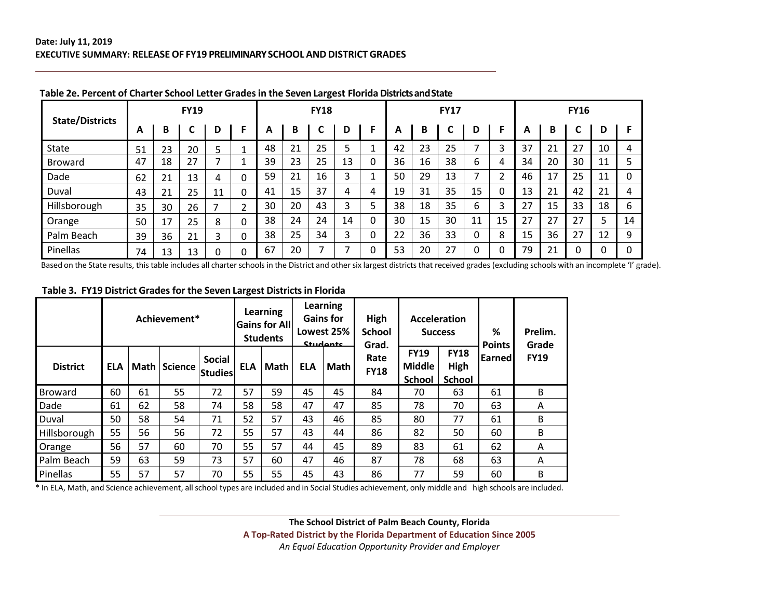|                        |    |    | <b>FY19</b> |    |   |    |    | <b>FY18</b> |    |          |    |    | <b>FY17</b> |    |                |    |    | <b>FY16</b> |    |    |
|------------------------|----|----|-------------|----|---|----|----|-------------|----|----------|----|----|-------------|----|----------------|----|----|-------------|----|----|
| <b>State/Districts</b> | A  | B  | C           | D  | F | А  | B  |             | D  | F        | А  | B  |             | D  | F              | A  | B  | ◠           | D  | F  |
| <b>State</b>           | 51 | 23 | 20          | 5  |   | 48 | 21 | 25          | ⊃  |          | 42 | 23 | 25          | ⇁  | 3              | 37 | 21 | 27          | 10 | 4  |
| Broward                | 47 | 18 | 27          | ⇁  |   | 39 | 23 | 25          | 13 | 0        | 36 | 16 | 38          | 6  | 4              | 34 | 20 | 30          | 11 |    |
| Dade                   | 62 | 21 | 13          | 4  | 0 | 59 | 21 | 16          | 3  |          | 50 | 29 | 13          | ⇁  | $\overline{2}$ | 46 | 17 | 25          | 11 |    |
| Duval                  | 43 | 21 | 25          | 11 | 0 | 41 | 15 | 37          | 4  | 4        | 19 | 31 | 35          | 15 | $\mathbf 0$    | 13 | 21 | 42          | 21 | 4  |
| Hillsborough           | 35 | 30 | 26          |    | h | 30 | 20 | 43          | 3  | 5        | 38 | 18 | 35          | 6  | 3              | 27 | 15 | 33          | 18 | 6  |
| Orange                 | 50 | 17 | 25          | 8  | 0 | 38 | 24 | 24          | 14 | $\Omega$ | 30 | 15 | 30          | 11 | 15             | 27 | 27 | 27          | 5  | 14 |
| Palm Beach             | 39 | 36 | 21          | 3  | 0 | 38 | 25 | 34          | 3  | 0        | 22 | 36 | 33          | 0  | 8              | 15 | 36 | 27          | 12 | 9  |
| Pinellas               | 74 | 13 | 13          | 0  | 0 | 67 | 20 |             | ⇁  | 0        | 53 | 20 | 27          | 0  | 0              | 79 | 21 |             |    | 0  |

#### **Table 2e. Percent of Charter School Letter Grades in the Seven Largest Florida Districts and State**

Based on the State results, this table includes all charter schools in the District and other six largest districts that received grades (excluding schools with an incomplete 'I' grade).

#### **Table 3. FY19 District Grades for the Seven Largest Districts in Florida**

|                 |            |      | Achievement*   |                                 |            | Learning<br><b>Gains for All</b><br><b>Students</b> |            | Learning<br><b>Gains for</b><br>Lowest 25%<br>Students | High<br><b>School</b><br>Grad. |                                               | <b>Acceleration</b><br><b>Success</b> | %<br><b>Points</b>  | Prelim.<br>Grade |
|-----------------|------------|------|----------------|---------------------------------|------------|-----------------------------------------------------|------------|--------------------------------------------------------|--------------------------------|-----------------------------------------------|---------------------------------------|---------------------|------------------|
| <b>District</b> | <b>ELA</b> | Math | <b>Science</b> | <b>Social</b><br><b>Studies</b> | <b>ELA</b> | Math                                                | <b>ELA</b> | Math                                                   | Rate<br><b>FY18</b>            | <b>FY19</b><br><b>Middle</b><br><b>School</b> | <b>FY18</b><br>High<br><b>School</b>  | Earned <sup>®</sup> | <b>FY19</b>      |
| <b>Broward</b>  | 60         | 61   | 55             | 72                              | 57         | 59                                                  | 45         | 45                                                     | 84                             | 70                                            | 63                                    | 61                  | B                |
| Dade            | 61         | 62   | 58             | 74                              | 58         | 58                                                  | 47         | 47                                                     | 85                             | 78                                            | 70                                    | 63                  | A                |
| Duval           | 50         | 58   | 54             | 71                              | 52         | 57                                                  | 43         | 46                                                     | 85                             | 80                                            | 77                                    | 61                  | B                |
| Hillsborough    | 55         | 56   | 56             | 72                              | 55         | 57                                                  | 43         | 44                                                     | 86                             | 82                                            | 50                                    | 60                  | В                |
| Orange          | 56         | 57   | 60             | 70                              | 55         | 57                                                  | 44         | 45                                                     | 89                             | 83                                            | 61                                    | 62                  | A                |
| Palm Beach      | 59         | 63   | 59             | 73                              | 57         | 60                                                  | 47         | 46                                                     | 87                             | 78                                            | 68                                    | 63                  | A                |
| Pinellas        | 55         | 57   | 57             | 70                              | 55         | 55                                                  | 45         | 43                                                     | 86                             | 77                                            | 59                                    | 60                  | B                |

\* In ELA, Math, and Science achievement, all school types are included and in Social Studies achievement, only middle and high schools are included.

**The School District of Palm Beach County, Florida A Top‐Rated District by the Florida Department of Education Since 2005**  *An Equal Education Opportunity Provider and Employer*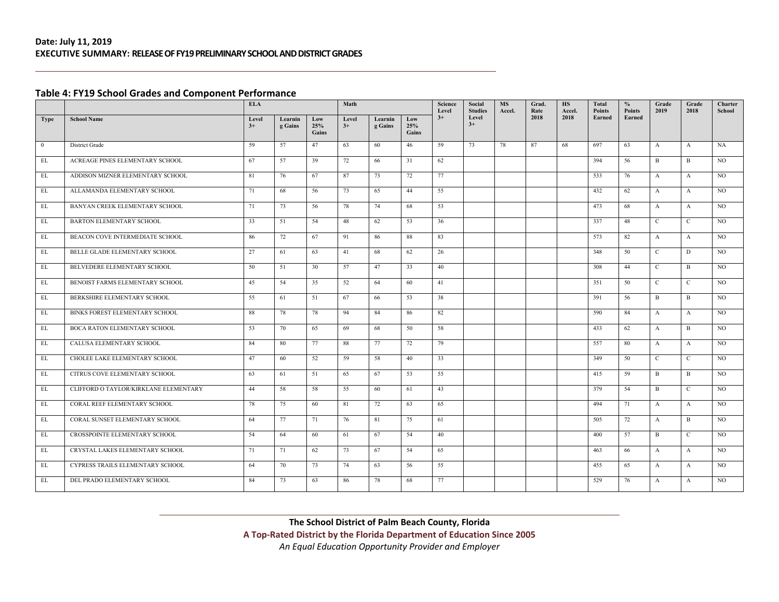#### **Table 4: FY19 School Grades and Component Performance**

|                   |                                       | <b>ELA</b>    |                    |                     | Math          |                    |                     | Science<br>Level | Social<br><b>Studies</b> | <b>MS</b><br>Accel. | Grad.<br>Rate | <b>HS</b><br>Accel. | Total<br>Points | $\frac{0}{0}$<br>Points | Grade<br>2019  | Grade<br>2018 | Charter<br>School |
|-------------------|---------------------------------------|---------------|--------------------|---------------------|---------------|--------------------|---------------------|------------------|--------------------------|---------------------|---------------|---------------------|-----------------|-------------------------|----------------|---------------|-------------------|
| <b>Type</b>       | <b>School Name</b>                    | Level<br>$3+$ | Learnin<br>g Gains | Low<br>25%<br>Gains | Level<br>$3+$ | Learnin<br>g Gains | Low<br>25%<br>Gains | $3+$             | Level<br>$3+$            |                     | 2018          | 2018                | Earned          | Earned                  |                |               |                   |
| $\overline{0}$    | District Grade                        | 59            | 57                 | 47                  | 63            | 60                 | 46                  | 59               | 73                       | 78                  | 87            | 68                  | 697             | 63                      | $\mathbf{A}$   | $\mathbf{A}$  | <b>NA</b>         |
| EL                | ACREAGE PINES ELEMENTARY SCHOOL       | 67            | 57                 | 39                  | 72            | 66                 | 31                  | 62               |                          |                     |               |                     | 394             | 56                      | $\mathbf{B}$   | B             | NO.               |
| EL                | ADDISON MIZNER ELEMENTARY SCHOOL      | 81            | 76                 | 67                  | 87            | 73                 | 72                  | 77               |                          |                     |               |                     | 533             | 76                      | $\mathbf{A}$   | $\mathbf{A}$  | NO.               |
| EL                | ALLAMANDA ELEMENTARY SCHOOL           | 71            | 68                 | 56                  | 73            | 65                 | 44                  | 55               |                          |                     |               |                     | 432             | 62                      | $\mathbf{A}$   | $\mathbf{A}$  | NO.               |
| EL                | BANYAN CREEK ELEMENTARY SCHOOL        | 71            | 73                 | 56                  | 78            | 74                 | 68                  | 53               |                          |                     |               |                     | 473             | 68                      | $\mathbf{A}$   | $\mathbf{A}$  | NO.               |
| EL                | BARTON ELEMENTARY SCHOOL              | 33            | 51                 | 54                  | 48            | 62                 | 53                  | 36               |                          |                     |               |                     | 337             | 48                      | $\mathbf{C}$   | $\mathbf{C}$  | NO.               |
| EL                | BEACON COVE INTERMEDIATE SCHOOL       | 86            | 72                 | 67                  | 91            | 86                 | 88                  | 83               |                          |                     |               |                     | 573             | 82                      | $\mathbf{A}$   | $\mathbf{A}$  | NO                |
| $\mathop{\rm EL}$ | BELLE GLADE ELEMENTARY SCHOOL         | 27            | 61                 | 63                  | 41            | 68                 | 62                  | 26               |                          |                     |               |                     | 348             | 50                      | $\mathbf{C}$   | D             | NO.               |
| EL                | BELVEDERE ELEMENTARY SCHOOL           | 50            | 51                 | 30                  | 57            | 47                 | 33                  | 40               |                          |                     |               |                     | 308             | 44                      | $\mathbf C$    | B             | NO.               |
| EL                | BENOIST FARMS ELEMENTARY SCHOOL       | 45            | 54                 | 35                  | 52            | 64                 | 60                  | 41               |                          |                     |               |                     | 351             | 50                      | $\mathbf C$    | $\mathbf C$   | NO.               |
| EL                | BERKSHIRE ELEMENTARY SCHOOL           | 55            | 61                 | 51                  | 67            | 66                 | 53                  | 38               |                          |                     |               |                     | 391             | 56                      | $\mathbf{B}$   | B             | NO.               |
| EL                | BINKS FOREST ELEMENTARY SCHOOL        | 88            | 78                 | 78                  | 94            | 84                 | 86                  | 82               |                          |                     |               |                     | 590             | 84                      | $\mathbf{A}$   | $\mathbf{A}$  | NO.               |
| EL                | <b>BOCA RATON ELEMENTARY SCHOOL</b>   | 53            | 70                 | 65                  | 69            | 68                 | 50                  | 58               |                          |                     |               |                     | 433             | 62                      | $\mathbf{A}$   | B             | NO.               |
| EL                | CALUSA ELEMENTARY SCHOOL              | 84            | 80                 | 77                  | 88            | 77                 | 72                  | 79               |                          |                     |               |                     | 557             | 80                      | $\mathbf{A}$   | $\mathbf{A}$  | NO.               |
| $\mathop{\rm EL}$ | CHOLEE LAKE ELEMENTARY SCHOOL         | 47            | 60                 | 52                  | 59            | 58                 | 40                  | 33               |                          |                     |               |                     | 349             | 50                      | $\mathcal{C}$  | $\mathbf{C}$  | NO.               |
| EL                | CITRUS COVE ELEMENTARY SCHOOL         | 63            | 61                 | 51                  | 65            | 67                 | 53                  | 55               |                          |                     |               |                     | 415             | 59                      | $\overline{B}$ | B             | NO.               |
| EL                | CLIFFORD O TAYLOR/KIRKLANE ELEMENTARY | 44            | 58                 | 58                  | 55            | 60                 | 61                  | 43               |                          |                     |               |                     | 379             | 54                      | $\mathbf{B}$   | $\mathbf{C}$  | NO.               |
| EL                | CORAL REEF ELEMENTARY SCHOOL          | 78            | 75                 | 60                  | 81            | 72                 | 63                  | 65               |                          |                     |               |                     | 494             | 71                      | $\mathbf{A}$   | $\mathbf{A}$  | NO.               |
| EL                | CORAL SUNSET ELEMENTARY SCHOOL        | 64            | 77                 | 71                  | 76            | 81                 | 75                  | 61               |                          |                     |               |                     | 505             | 72                      | $\mathbf{A}$   | B             | NO.               |
| EL                | CROSSPOINTE ELEMENTARY SCHOOL         | 54            | 64                 | 60                  | 61            | 67                 | 54                  | 40               |                          |                     |               |                     | 400             | 57                      | B              | $\mathbf{C}$  | NO.               |
| EL                | CRYSTAL LAKES ELEMENTARY SCHOOL       | 71            | 71                 | 62                  | 73            | 67                 | 54                  | 65               |                          |                     |               |                     | 463             | 66                      | $\mathbf{A}$   | A             | NO.               |
| EL                | CYPRESS TRAILS ELEMENTARY SCHOOL      | 64            | 70                 | 73                  | 74            | 63                 | 56                  | 55               |                          |                     |               |                     | 455             | 65                      | $\mathbf{A}$   | $\mathbf{A}$  | NO.               |
| EL                | DEL PRADO ELEMENTARY SCHOOL           | 84            | 73                 | 63                  | 86            | 78                 | 68                  | 77               |                          |                     |               |                     | 529             | 76                      | $\mathbf{A}$   | $\mathbf{A}$  | NO.               |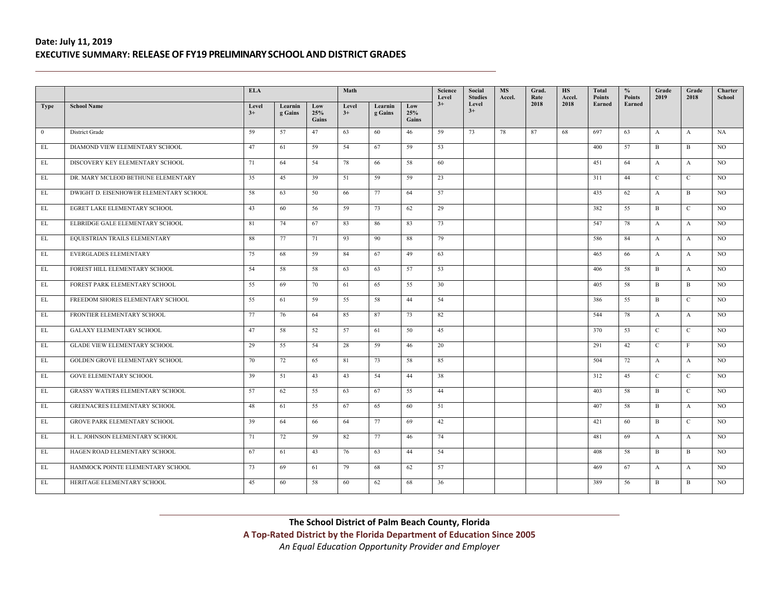|                   |                                        | <b>ELA</b>    |                    |                     | Math          |                    |                     | Science<br>Level | Social<br><b>Studies</b> | <b>MS</b><br>Accel. | Grad.<br>Rate | <b>HS</b><br>Accel. | <b>Total</b><br><b>Points</b> | $\frac{6}{6}$<br><b>Points</b> | Grade<br>2019  | Grade<br>2018 | Charter<br>School |
|-------------------|----------------------------------------|---------------|--------------------|---------------------|---------------|--------------------|---------------------|------------------|--------------------------|---------------------|---------------|---------------------|-------------------------------|--------------------------------|----------------|---------------|-------------------|
| <b>Type</b>       | <b>School Name</b>                     | Level<br>$3+$ | Learnin<br>g Gains | Low<br>25%<br>Gains | Level<br>$3+$ | Learnin<br>g Gains | Low<br>25%<br>Gains | $3+$             | Level<br>$3+$            |                     | 2018          | 2018                | Earned                        | Earned                         |                |               |                   |
| $\overline{0}$    | District Grade                         | 59            | 57                 | 47                  | 63            | 60                 | 46                  | 59               | 73                       | 78                  | 87            | 68                  | 697                           | 63                             | $\mathbf{A}$   | $\mathbf{A}$  | NA                |
| EL                | DIAMOND VIEW ELEMENTARY SCHOOL         | 47            | 61                 | 59                  | 54            | 67                 | 59                  | 53               |                          |                     |               |                     | 400                           | 57                             | B              | $\mathbf{B}$  | NO.               |
| EL                | DISCOVERY KEY ELEMENTARY SCHOOL        | 71            | 64                 | 54                  | 78            | 66                 | 58                  | 60               |                          |                     |               |                     | 451                           | 64                             | $\mathbf{A}$   | $\mathbf{A}$  | NO.               |
| EL                | DR. MARY MCLEOD BETHUNE ELEMENTARY     | 35            | 45                 | 39                  | 51            | 59                 | 59                  | 23               |                          |                     |               |                     | 311                           | 44                             | $\mathcal{C}$  | $\mathbf{C}$  | NO.               |
| EL                | DWIGHT D. EISENHOWER ELEMENTARY SCHOOL | 58            | 63                 | 50                  | 66            | 77                 | 64                  | 57               |                          |                     |               |                     | 435                           | 62                             | $\mathbf{A}$   | $\mathbf{B}$  | NO.               |
| EL                | EGRET LAKE ELEMENTARY SCHOOL           | 43            | 60                 | 56                  | 59            | 73                 | 62                  | 29               |                          |                     |               |                     | 382                           | 55                             | B              | $\mathbf{C}$  | NO.               |
| EL                | ELBRIDGE GALE ELEMENTARY SCHOOL        | 81            | 74                 | 67                  | 83            | 86                 | 83                  | 73               |                          |                     |               |                     | 547                           | 78                             | $\mathbf{A}$   | $\mathbf{A}$  | NO.               |
| EL                | EQUESTRIAN TRAILS ELEMENTARY           | 88            | 77                 | 71                  | 93            | 90                 | 88                  | 79               |                          |                     |               |                     | 586                           | 84                             | $\mathbf{A}$   | $\mathbf{A}$  | NO.               |
| EL                | <b>EVERGLADES ELEMENTARY</b>           | 75            | 68                 | 59                  | 84            | 67                 | 49                  | 63               |                          |                     |               |                     | 465                           | 66                             | $\mathbf{A}$   | $\mathbf{A}$  | NO.               |
| EL                | FOREST HILL ELEMENTARY SCHOOL          | 54            | 58                 | 58                  | 63            | 63                 | 57                  | 53               |                          |                     |               |                     | 406                           | 58                             | $\overline{B}$ | $\mathbf{A}$  | NO.               |
| EL                | FOREST PARK ELEMENTARY SCHOOL          | 55            | 69                 | 70                  | 61            | 65                 | 55                  | 30               |                          |                     |               |                     | 405                           | 58                             | B              | $\mathbf{B}$  | $_{\rm NO}$       |
| $\mathop{\rm EL}$ | FREEDOM SHORES ELEMENTARY SCHOOL       | 55            | 61                 | 59                  | 55            | 58                 | 44                  | 54               |                          |                     |               |                     | 386                           | 55                             | B              | $\mathbf{C}$  | NO.               |
| EL                | FRONTIER ELEMENTARY SCHOOL             | 77            | 76                 | 64                  | 85            | 87                 | 73                  | 82               |                          |                     |               |                     | 544                           | 78                             | $\mathbf{A}$   | $\mathbf{A}$  | NO.               |
| EL                | <b>GALAXY ELEMENTARY SCHOOL</b>        | 47            | 58                 | 52                  | 57            | 61                 | 50                  | 45               |                          |                     |               |                     | 370                           | 53                             | $\mathcal{C}$  | $\mathbf{C}$  | NO.               |
| EL                | <b>GLADE VIEW ELEMENTARY SCHOOL</b>    | 29            | 55                 | 54                  | 28            | 59                 | 46                  | 20               |                          |                     |               |                     | 291                           | 42                             | $\mathbf{C}$   | $\mathbf{F}$  | NO.               |
| EL                | GOLDEN GROVE ELEMENTARY SCHOOL         | 70            | 72                 | 65                  | 81            | 73                 | 58                  | 85               |                          |                     |               |                     | 504                           | 72                             | $\mathbf{A}$   | $\mathbf{A}$  | $_{\rm NO}$       |
| EL                | <b>GOVE ELEMENTARY SCHOOL</b>          | 39            | 51                 | 43                  | 43            | 54                 | 44                  | 38               |                          |                     |               |                     | 312                           | 45                             | $\mathbf{C}$   | $\mathbf{C}$  | NO.               |
| $\mathbf{EL}$     | <b>GRASSY WATERS ELEMENTARY SCHOOL</b> | 57            | 62                 | 55                  | 63            | 67                 | 55                  | 44               |                          |                     |               |                     | 403                           | 58                             | $\overline{B}$ | $\mathbf{C}$  | NO.               |
| EL                | <b>GREENACRES ELEMENTARY SCHOOL</b>    | 48            | 61                 | 55                  | 67            | 65                 | 60                  | 51               |                          |                     |               |                     | 407                           | 58                             | B              | $\mathbf{A}$  | NO.               |
| EL                | <b>GROVE PARK ELEMENTARY SCHOOL</b>    | 39            | 64                 | 66                  | 64            | 77                 | 69                  | 42               |                          |                     |               |                     | 421                           | 60                             | B              | $\mathbf{C}$  | NO.               |
| EL                | H. L. JOHNSON ELEMENTARY SCHOOL        | 71            | 72                 | 59                  | 82            | 77                 | 46                  | 74               |                          |                     |               |                     | 481                           | 69                             | $\mathbf{A}$   | $\mathbf{A}$  | NO.               |
| EL                | HAGEN ROAD ELEMENTARY SCHOOL           | 67            | 61                 | 43                  | 76            | 63                 | 44                  | 54               |                          |                     |               |                     | 408                           | 58                             | B              | B             | NO.               |
| EL                | HAMMOCK POINTE ELEMENTARY SCHOOL       | 73            | 69                 | 61                  | 79            | 68                 | 62                  | 57               |                          |                     |               |                     | 469                           | 67                             | $\mathbf{A}$   | $\mathbf{A}$  | NO.               |
| EL                | HERITAGE ELEMENTARY SCHOOL             | 45            | 60                 | 58                  | 60            | 62                 | 68                  | 36               |                          |                     |               |                     | 389                           | 56                             | B              | B             | NO.               |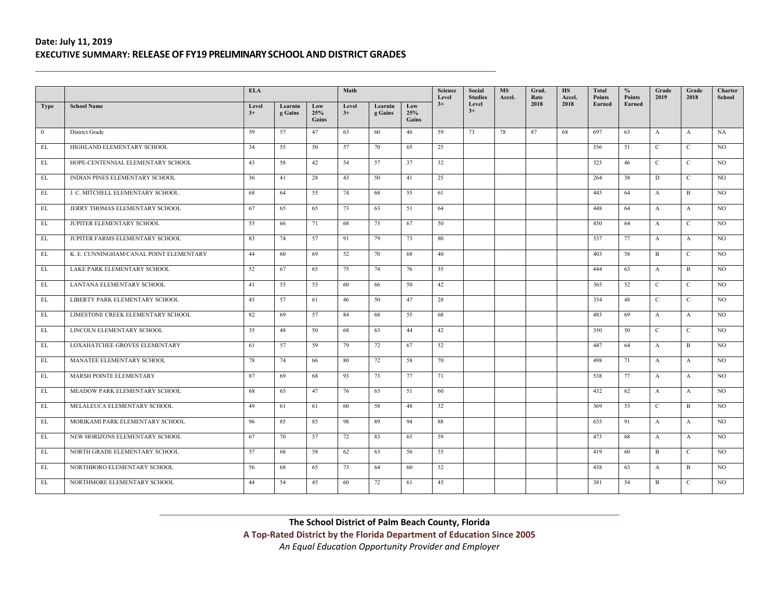|                   |                                         | <b>ELA</b>    |                    |                     | Math          |                    |                     | Science<br>Level | Social<br><b>Studies</b> | <b>MS</b><br>Accel. | Grad.<br>Rate | <b>HS</b><br>Accel. | Total<br>Points | $\frac{6}{6}$<br><b>Points</b> | Grade<br>2019 | Grade<br>2018 | Charter<br>School |
|-------------------|-----------------------------------------|---------------|--------------------|---------------------|---------------|--------------------|---------------------|------------------|--------------------------|---------------------|---------------|---------------------|-----------------|--------------------------------|---------------|---------------|-------------------|
| <b>Type</b>       | <b>School Name</b>                      | Level<br>$3+$ | Learnin<br>g Gains | Low<br>25%<br>Gains | Level<br>$3+$ | Learnin<br>g Gains | Low<br>25%<br>Gains | $3+$             | Level<br>$3+$            |                     | 2018          | 2018                | Earned          | Earned                         |               |               |                   |
| $\overline{0}$    | <b>District Grade</b>                   | 59            | 57                 | 47                  | 63            | 60                 | 46                  | 59               | 73                       | 78                  | 87            | 68                  | 697             | 63                             | $\mathbf{A}$  | A             | NA                |
| EL                | HIGHLAND ELEMENTARY SCHOOL              | 34            | 55                 | 50                  | 57            | 70                 | 65                  | 25               |                          |                     |               |                     | 356             | 51                             | $\mathbf C$   | $\mathbf{C}$  | NO.               |
| EL                | HOPE-CENTENNIAL ELEMENTARY SCHOOL       | 43            | 58                 | 42                  | 54            | 57                 | 37                  | 32               |                          |                     |               |                     | 323             | 46                             | $\mathcal{C}$ | $\mathbf{C}$  | NO.               |
| EL                | INDIAN PINES ELEMENTARY SCHOOL          | 36            | 41                 | 28                  | 43            | 50                 | 41                  | 25               |                          |                     |               |                     | 264             | 38                             | D             | $\mathbf{C}$  | <b>NO</b>         |
| EL                | J. C. MITCHELL ELEMENTARY SCHOOL        | 68            | 64                 | 55                  | 74            | 68                 | 55                  | 61               |                          |                     |               |                     | 445             | 64                             | $\mathbf{A}$  | B             | NO.               |
| $\mathop{\rm EL}$ | JERRY THOMAS ELEMENTARY SCHOOL          | 67            | 65                 | 65                  | 73            | 63                 | 51                  | 64               |                          |                     |               |                     | 448             | 64                             | $\mathbf{A}$  | $\mathbf{A}$  | NO.               |
| EL                | JUPITER ELEMENTARY SCHOOL               | 55            | 66                 | 71                  | 68            | 73                 | 67                  | 50               |                          |                     |               |                     | 450             | 64                             | $\mathbf{A}$  | $\mathbf{C}$  | NO.               |
| EL                | JUPITER FARMS ELEMENTARY SCHOOL         | 83            | 74                 | 57                  | 91            | 79                 | 73                  | 80               |                          |                     |               |                     | 537             | 77                             | $\mathbf{A}$  | $\mathbf{A}$  | NO.               |
| EL                | K. E. CUNNINGHAM/CANAL POINT ELEMENTARY | 44            | 60                 | 69                  | 52            | 70                 | 68                  | 40               |                          |                     |               |                     | 403             | 58                             | B             | $\mathbf{C}$  | NO.               |
| EL                | LAKE PARK ELEMENTARY SCHOOL             | 52            | 67                 | 65                  | 75            | 74                 | 76                  | 35               |                          |                     |               |                     | 444             | 63                             | $\mathbf{A}$  | $\mathbf{B}$  | NO.               |
| EL                | LANTANA ELEMENTARY SCHOOL               | 41            | 53                 | 53                  | 60            | 66                 | 50                  | 42               |                          |                     |               |                     | 365             | 52                             | $\mathbf C$   | $\mathbf C$   | NO.               |
| $\mathbf{EL}$     | LIBERTY PARK ELEMENTARY SCHOOL          | 45            | 57                 | 61                  | 46            | 50                 | 47                  | 28               |                          |                     |               |                     | 334             | 48                             | $\mathbf C$   | $\mathbf{C}$  | NO.               |
| EL                | LIMESTONE CREEK ELEMENTARY SCHOOL       | 82            | 69                 | 57                  | 84            | 68                 | 55                  | 68               |                          |                     |               |                     | 483             | 69                             | $\mathbf{A}$  | $\mathbf{A}$  | NO.               |
| EL                | LINCOLN ELEMENTARY SCHOOL               | 35            | 48                 | 50                  | 68            | 63                 | 44                  | 42               |                          |                     |               |                     | 350             | 50                             | $\mathbf{C}$  | $\mathbf{C}$  | NO.               |
| EL                | LOXAHATCHEE GROVES ELEMENTARY           | 61            | 57                 | 59                  | 79            | 72                 | 67                  | 52               |                          |                     |               |                     | 447             | 64                             | $\mathbf{A}$  | $\mathbf{B}$  | NO.               |
| EL                | MANATEE ELEMENTARY SCHOOL               | 78            | 74                 | 66                  | 80            | 72                 | 58                  | 70               |                          |                     |               |                     | 498             | 71                             | $\mathbf{A}$  | $\mathbf{A}$  | NO.               |
| EL                | MARSH POINTE ELEMENTARY                 | 87            | 69                 | 68                  | 93            | 73                 | 77                  | 71               |                          |                     |               |                     | 538             | 77                             | $\mathbf{A}$  | $\mathbf{A}$  | NO.               |
| EL                | MEADOW PARK ELEMENTARY SCHOOL           | 68            | 65                 | 47                  | 76            | 65                 | 51                  | 60               |                          |                     |               |                     | 432             | 62                             | $\mathbf{A}$  | $\mathbf{A}$  | <b>NO</b>         |
| EL                | MELALEUCA ELEMENTARY SCHOOL             | 49            | 61                 | 61                  | 60            | 58                 | 48                  | 32               |                          |                     |               |                     | 369             | 53                             | $\mathbf{C}$  | B             | NO.               |
| EL                | MORIKAMI PARK ELEMENTARY SCHOOL         | 96            | 85                 | 85                  | 98            | 89                 | 94                  | 88               |                          |                     |               |                     | 635             | 91                             | $\mathbf{A}$  | $\mathbf{A}$  | NO.               |
| $\mathbf{EL}$     | NEW HORIZONS ELEMENTARY SCHOOL          | 67            | 70                 | 57                  | 72            | 83                 | 65                  | 59               |                          |                     |               |                     | 473             | 68                             | $\mathbf{A}$  | $\mathbf{A}$  | NO.               |
| EL                | NORTH GRADE ELEMENTARY SCHOOL           | 57            | 68                 | 58                  | 62            | 63                 | 56                  | 55               |                          |                     |               |                     | 419             | 60                             | B             | $\mathbf{C}$  | NO.               |
| EL                | NORTHBORO ELEMENTARY SCHOOL             | 56            | 68                 | 65                  | 73            | 64                 | 60                  | 52               |                          |                     |               |                     | 438             | 63                             | $\mathbf{A}$  | B             | NO.               |
| EL                | NORTHMORE ELEMENTARY SCHOOL             | 44            | 54                 | 45                  | 60            | 72                 | 61                  | 45               |                          |                     |               |                     | 381             | 54                             | B             | C             | NO.               |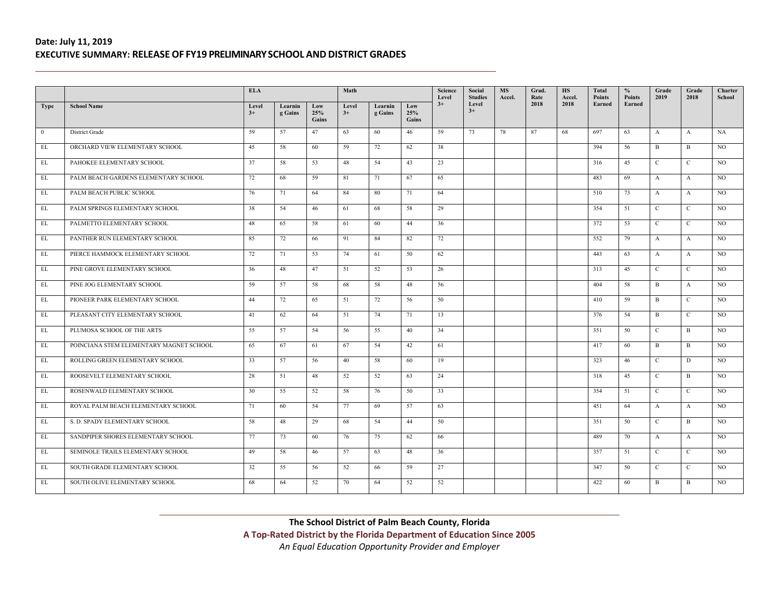|                |                                         | <b>ELA</b>    |                    |                     | Math          |                    |                     | Science<br>Level | Social<br><b>Studies</b> | <b>MS</b><br>Accel. | Grad.<br>Rate | <b>HS</b><br>Accel. | <b>Total</b><br><b>Points</b> | $\frac{6}{6}$<br><b>Points</b> | Grade<br>2019 | Grade<br>2018 | Charter<br>School |
|----------------|-----------------------------------------|---------------|--------------------|---------------------|---------------|--------------------|---------------------|------------------|--------------------------|---------------------|---------------|---------------------|-------------------------------|--------------------------------|---------------|---------------|-------------------|
| <b>Type</b>    | <b>School Name</b>                      | Level<br>$3+$ | Learnin<br>g Gains | Low<br>25%<br>Gains | Level<br>$3+$ | Learnin<br>g Gains | Low<br>25%<br>Gains | $3+$             | Level<br>$3+$            |                     | 2018          | 2018                | Earned                        | Earned                         |               |               |                   |
| $\overline{0}$ | District Grade                          | 59            | 57                 | 47                  | 63            | 60                 | 46                  | 59               | 73                       | 78                  | 87            | 68                  | 697                           | 63                             | $\mathbf{A}$  | $\mathbf{A}$  | NA                |
| EL             | ORCHARD VIEW ELEMENTARY SCHOOL          | 45            | 58                 | 60                  | 59            | 72                 | 62                  | 38               |                          |                     |               |                     | 394                           | 56                             | B             | $\mathbf{B}$  | NO.               |
| EL             | PAHOKEE ELEMENTARY SCHOOL               | 37            | 58                 | 53                  | 48            | 54                 | 43                  | 23               |                          |                     |               |                     | 316                           | 45                             | $\mathcal{C}$ | $\mathcal{C}$ | NO.               |
| EL             | PALM BEACH GARDENS ELEMENTARY SCHOOL    | 72            | 68                 | 59                  | 81            | 71                 | 67                  | 65               |                          |                     |               |                     | 483                           | 69                             | $\mathbf{A}$  | $\mathbf{A}$  | NO.               |
| EL             | PALM BEACH PUBLIC SCHOOL                | 76            | 71                 | 64                  | 84            | 80                 | 71                  | 64               |                          |                     |               |                     | 510                           | 73                             | $\mathbf{A}$  | $\mathbf{A}$  | NO.               |
| EL             | PALM SPRINGS ELEMENTARY SCHOOL          | 38            | 54                 | 46                  | 61            | 68                 | 58                  | 29               |                          |                     |               |                     | 354                           | 51                             | $\mathbf C$   | $\mathbf{C}$  | NO.               |
| EL             | PALMETTO ELEMENTARY SCHOOL              | 48            | 65                 | 58                  | 61            | 60                 | 44                  | 36               |                          |                     |               |                     | 372                           | 53                             | $\mathbf C$   | $\mathbf{C}$  | NO.               |
| EL             | PANTHER RUN ELEMENTARY SCHOOL           | 85            | 72                 | 66                  | 91            | 84                 | 82                  | 72               |                          |                     |               |                     | 552                           | 79                             | $\mathbf{A}$  | $\mathbf{A}$  | NO.               |
| EL             | PIERCE HAMMOCK ELEMENTARY SCHOOL        | 72            | 71                 | 53                  | 74            | 61                 | 50                  | 62               |                          |                     |               |                     | 443                           | 63                             | $\mathbf{A}$  | $\mathbf{A}$  | NO.               |
| EL             | PINE GROVE ELEMENTARY SCHOOL            | 36            | 48                 | 47                  | 51            | 52                 | 53                  | 26               |                          |                     |               |                     | 313                           | 45                             | $\mathcal{C}$ | $\mathbf{C}$  | NO.               |
| EL             | PINE JOG ELEMENTARY SCHOOL              | 59            | 57                 | 58                  | 68            | 58                 | 48                  | 56               |                          |                     |               |                     | 404                           | 58                             | B             | $\mathbf{A}$  | NO.               |
| $\mathbf{EL}$  | PIONEER PARK ELEMENTARY SCHOOL          | 44            | 72                 | 65                  | 51            | 72                 | 56                  | 50               |                          |                     |               |                     | 410                           | 59                             | B             | $\mathbf{C}$  | NO.               |
| EL             | PLEASANT CITY ELEMENTARY SCHOOL         | 41            | 62                 | 64                  | 51            | 74                 | 71                  | 13               |                          |                     |               |                     | 376                           | 54                             | B             | $\mathbf{C}$  | NO.               |
| EL             | PLUMOSA SCHOOL OF THE ARTS              | 55            | 57                 | 54                  | 56            | 55                 | 40                  | 34               |                          |                     |               |                     | 351                           | 50                             | $\mathcal{C}$ | B             | <b>NO</b>         |
| EL             | POINCIANA STEM ELEMENTARY MAGNET SCHOOL | 65            | 67                 | 61                  | 67            | 54                 | 42                  | 61               |                          |                     |               |                     | 417                           | 60                             | $\mathbf{B}$  | $\mathbf{B}$  | NO.               |
| EL             | ROLLING GREEN ELEMENTARY SCHOOL         | 33            | 57                 | 56                  | 40            | 58                 | 60                  | 19               |                          |                     |               |                     | 323                           | 46                             | $\mathbf C$   | D             | $_{\rm NO}$       |
| EL             | ROOSEVELT ELEMENTARY SCHOOL             | 28            | 51                 | 48                  | 52            | 52                 | 63                  | 24               |                          |                     |               |                     | 318                           | 45                             | $\mathbf{C}$  | B             | NO.               |
| $\mathbf{EL}$  | ROSENWALD ELEMENTARY SCHOOL             | 30            | 55                 | 52                  | 58            | 76                 | 50                  | 33               |                          |                     |               |                     | 354                           | 51                             | $\mathcal{C}$ | $\mathbf{C}$  | <b>NO</b>         |
| EL             | ROYAL PALM BEACH ELEMENTARY SCHOOL      | 71            | 60                 | 54                  | 77            | 69                 | 57                  | 63               |                          |                     |               |                     | 451                           | 64                             | $\mathbf{A}$  | $\mathbf{A}$  | NO.               |
| EL             | S. D. SPADY ELEMENTARY SCHOOL           | 58            | 48                 | 29                  | 68            | 54                 | 44                  | 50               |                          |                     |               |                     | 351                           | 50                             | $\mathbf C$   | B             | NO.               |
| EL             | SANDPIPER SHORES ELEMENTARY SCHOOL      | 77            | 73                 | 60                  | 76            | 75                 | 62                  | 66               |                          |                     |               |                     | 489                           | 70                             | $\mathbf{A}$  | $\mathbf{A}$  | NO.               |
| EL             | SEMINOLE TRAILS ELEMENTARY SCHOOL       | 49            | 58                 | 46                  | 57            | 63                 | 48                  | 36               |                          |                     |               |                     | 357                           | 51                             | $\mathbf C$   | $\mathbf{C}$  | NO.               |
| EL             | SOUTH GRADE ELEMENTARY SCHOOL           | 32            | 55                 | 56                  | 52            | 66                 | 59                  | 27               |                          |                     |               |                     | 347                           | 50                             | $\mathbf{C}$  | $\mathbf{C}$  | NO.               |
| EL             | SOUTH OLIVE ELEMENTARY SCHOOL           | 68            | 64                 | 52                  | 70            | 64                 | 52                  | 52               |                          |                     |               |                     | 422                           | 60                             | B             | B             | NO.               |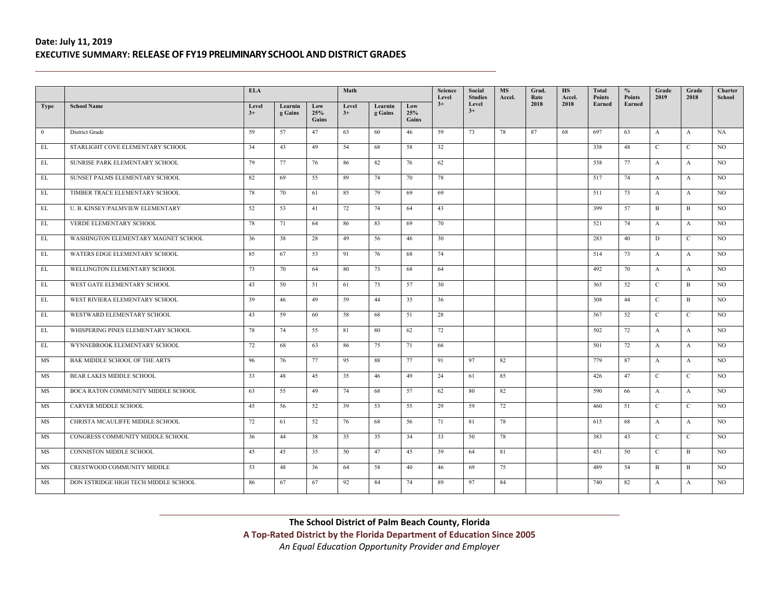|                   |                                      | <b>ELA</b>    |                    |                     | Math          |                    |                     | Science<br>Level | Social<br><b>Studies</b> | <b>MS</b><br>Accel. | Grad.<br>Rate | <b>HS</b><br>Accel. | Total<br>Points | $\frac{0}{0}$<br><b>Points</b> | Grade<br>2019 | Grade<br>2018 | Charter<br>School |
|-------------------|--------------------------------------|---------------|--------------------|---------------------|---------------|--------------------|---------------------|------------------|--------------------------|---------------------|---------------|---------------------|-----------------|--------------------------------|---------------|---------------|-------------------|
| <b>Type</b>       | <b>School Name</b>                   | Level<br>$3+$ | Learnin<br>g Gains | Low<br>25%<br>Gains | Level<br>$3+$ | Learnin<br>g Gains | Low<br>25%<br>Gains | $3+$             | Level<br>$3+$            |                     | 2018          | 2018                | Earned          | Earned                         |               |               |                   |
| $\overline{0}$    | <b>District Grade</b>                | 59            | 57                 | 47                  | 63            | 60                 | 46                  | 59               | 73                       | 78                  | 87            | 68                  | 697             | 63                             | $\mathbf{A}$  | A             | NA                |
| EL                | STARLIGHT COVE ELEMENTARY SCHOOL     | 34            | 43                 | 49                  | 54            | 68                 | 58                  | 32               |                          |                     |               |                     | 338             | 48                             | $\mathbf C$   | $\mathbf{C}$  | NO.               |
| EL                | SUNRISE PARK ELEMENTARY SCHOOL       | 79            | 77                 | 76                  | 86            | 82                 | 76                  | 62               |                          |                     |               |                     | 538             | 77                             | $\mathbf{A}$  | $\mathbf{A}$  | NO.               |
| EL                | SUNSET PALMS ELEMENTARY SCHOOL       | 82            | 69                 | 55                  | 89            | 74                 | 70                  | 78               |                          |                     |               |                     | 517             | 74                             | $\mathbf{A}$  | $\mathbf{A}$  | NO.               |
| EL                | TIMBER TRACE ELEMENTARY SCHOOL       | 78            | 70                 | 61                  | 85            | 79                 | 69                  | 69               |                          |                     |               |                     | 511             | 73                             | $\mathbf{A}$  | $\mathbf{A}$  | NO.               |
| $\mathop{\rm EL}$ | U. B. KINSEY/PALMVIEW ELEMENTARY     | 52            | 53                 | 41                  | 72            | 74                 | 64                  | 43               |                          |                     |               |                     | 399             | 57                             | $\mathbf{B}$  | $\mathbf{B}$  | NO.               |
| EL                | VERDE ELEMENTARY SCHOOL              | 78            | 71                 | 64                  | 86            | 83                 | 69                  | 70               |                          |                     |               |                     | 521             | 74                             | $\mathbf{A}$  | $\mathbf{A}$  | NO.               |
| EL                | WASHINGTON ELEMENTARY MAGNET SCHOOL  | 36            | 38                 | 28                  | 49            | 56                 | 46                  | 30               |                          |                     |               |                     | 283             | 40                             | D             | $\mathbf{C}$  | NO.               |
| EL                | WATERS EDGE ELEMENTARY SCHOOL        | 85            | 67                 | 53                  | 91            | 76                 | 68                  | 74               |                          |                     |               |                     | 514             | 73                             | $\mathbf{A}$  | $\mathbf{A}$  | NO.               |
| EL                | WELLINGTON ELEMENTARY SCHOOL         | 73            | 70                 | 64                  | 80            | 73                 | 68                  | 64               |                          |                     |               |                     | 492             | 70                             | $\mathbf{A}$  | $\mathbf{A}$  | NO.               |
| EL                | WEST GATE ELEMENTARY SCHOOL          | 43            | 50                 | 51                  | 61            | 73                 | 57                  | 30               |                          |                     |               |                     | 365             | 52                             | $\mathbf C$   | $\mathbf{B}$  | NO.               |
| $\mathbf{EL}$     | WEST RIVIERA ELEMENTARY SCHOOL       | 39            | 46                 | 49                  | 59            | 44                 | 35                  | 36               |                          |                     |               |                     | 308             | 44                             | $\mathbf C$   | B             | NO.               |
| EL                | WESTWARD ELEMENTARY SCHOOL           | 43            | 59                 | 60                  | 58            | 68                 | 51                  | 28               |                          |                     |               |                     | 367             | 52                             | $\mathbf C$   | $\mathbf{C}$  | NO.               |
| EL                | WHISPERING PINES ELEMENTARY SCHOOL   | 78            | 74                 | 55                  | 81            | 80                 | 62                  | 72               |                          |                     |               |                     | 502             | 72                             | $\mathbf{A}$  | $\mathbf{A}$  | NO.               |
| EL                | WYNNEBROOK ELEMENTARY SCHOOL         | 72            | 68                 | 63                  | 86            | 75                 | 71                  | 66               |                          |                     |               |                     | 501             | 72                             | $\mathbf{A}$  | $\mathbf{A}$  | NO.               |
| MS                | BAK MIDDLE SCHOOL OF THE ARTS        | 96            | 76                 | 77                  | 95            | 88                 | 77                  | 91               | 97                       | 82                  |               |                     | 779             | 87                             | $\mathbf{A}$  | $\mathbf{A}$  | NO.               |
| MS                | <b>BEAR LAKES MIDDLE SCHOOL</b>      | 33            | 48                 | 45                  | 35            | 46                 | 49                  | 24               | 61                       | 85                  |               |                     | 426             | 47                             | $\mathcal{C}$ | $\mathbf{C}$  | NO.               |
| MS                | BOCA RATON COMMUNITY MIDDLE SCHOOL   | 63            | 55                 | 49                  | 74            | 68                 | 57                  | 62               | 80                       | 82                  |               |                     | 590             | 66                             | $\mathbf{A}$  | $\mathbf{A}$  | NO.               |
| MS                | <b>CARVER MIDDLE SCHOOL</b>          | 45            | 56                 | 52                  | 39            | 53                 | 55                  | 29               | 59                       | 72                  |               |                     | 460             | 51                             | $\mathbf C$   | $\mathbf{C}$  | NO.               |
| MS                | CHRISTA MCAULIFFE MIDDLE SCHOOL      | 72            | 61                 | 52                  | 76            | 68                 | 56                  | 71               | 81                       | 78                  |               |                     | 615             | 68                             | $\mathbf{A}$  | $\mathbf{A}$  | NO.               |
| MS                | CONGRESS COMMUNITY MIDDLE SCHOOL     | 36            | 44                 | 38                  | 35            | 35                 | 34                  | 33               | 50                       | 78                  |               |                     | 383             | 43                             | $\mathbf C$   | $\mathbf{C}$  | NO.               |
| MS                | CONNISTON MIDDLE SCHOOL              | 45            | 45                 | 35                  | 50            | 47                 | 45                  | 39               | 64                       | 81                  |               |                     | 451             | 50                             | $\mathbf{C}$  | B             | NO.               |
| MS                | CRESTWOOD COMMUNITY MIDDLE           | 53            | 48                 | 36                  | 64            | 58                 | 40                  | 46               | 69                       | 75                  |               |                     | 489             | 54                             | B             | B             | NO.               |
| MS                | DON ESTRIDGE HIGH TECH MIDDLE SCHOOL | 86            | 67                 | 67                  | 92            | 84                 | 74                  | 89               | 97                       | 84                  |               |                     | 740             | 82                             | $\mathbf{A}$  | $\mathbf{A}$  | NO.               |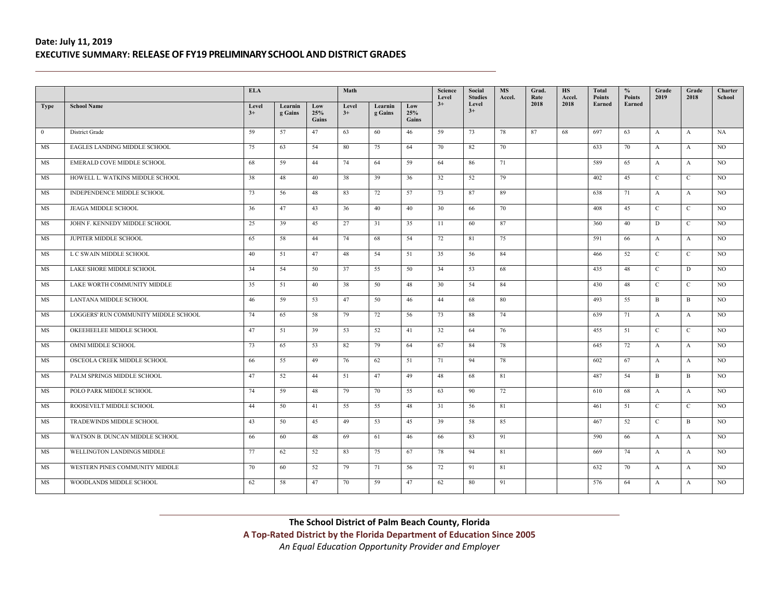|                |                                      | <b>ELA</b>    |                    |                     | Math          |                    |                     | Science<br>Level | Social<br><b>Studies</b> | <b>MS</b><br>Accel. | Grad.<br>Rate | <b>HS</b><br>Accel. | Total<br>Points | $\frac{0}{0}$<br><b>Points</b> | Grade<br>2019 | Grade<br>2018 | Charter<br>School |
|----------------|--------------------------------------|---------------|--------------------|---------------------|---------------|--------------------|---------------------|------------------|--------------------------|---------------------|---------------|---------------------|-----------------|--------------------------------|---------------|---------------|-------------------|
| <b>Type</b>    | <b>School Name</b>                   | Level<br>$3+$ | Learnin<br>g Gains | Low<br>25%<br>Gains | Level<br>$3+$ | Learnin<br>g Gains | Low<br>25%<br>Gains | $3+$             | Level<br>$3+$            |                     | 2018          | 2018                | Earned          | Earned                         |               |               |                   |
| $\overline{0}$ | District Grade                       | 59            | 57                 | 47                  | 63            | 60                 | 46                  | 59               | 73                       | 78                  | 87            | 68                  | 697             | 63                             | $\mathbf{A}$  | A             | NA                |
| MS             | EAGLES LANDING MIDDLE SCHOOL         | 75            | 63                 | 54                  | 80            | 75                 | 64                  | 70               | 82                       | 70                  |               |                     | 633             | 70                             | $\mathbf{A}$  | $\mathbf{A}$  | NO.               |
| MS             | EMERALD COVE MIDDLE SCHOOL           | 68            | 59                 | 44                  | 74            | 64                 | 59                  | 64               | 86                       | 71                  |               |                     | 589             | 65                             | $\mathbf{A}$  | A             | NO.               |
| MS             | HOWELL L. WATKINS MIDDLE SCHOOL      | 38            | 48                 | 40                  | 38            | 39                 | 36                  | 32               | 52                       | 79                  |               |                     | 402             | 45                             | $\mathbf C$   | $\mathbf C$   | NO                |
| MS             | INDEPENDENCE MIDDLE SCHOOL           | 73            | 56                 | 48                  | 83            | 72                 | 57                  | 73               | 87                       | 89                  |               |                     | 638             | 71                             | $\mathbf{A}$  | $\mathbf{A}$  | NO.               |
| MS             | <b>JEAGA MIDDLE SCHOOL</b>           | 36            | 47                 | 43                  | 36            | 40                 | 40                  | 30               | 66                       | 70                  |               |                     | 408             | 45                             | $\mathbf C$   | $\mathbf{C}$  | NO.               |
| MS             | JOHN F. KENNEDY MIDDLE SCHOOL        | 25            | 39                 | 45                  | 27            | 31                 | 35                  | 11               | 60                       | 87                  |               |                     | 360             | 40                             | D             | $\mathbf{C}$  | NO.               |
| MS             | JUPITER MIDDLE SCHOOL                | 65            | 58                 | 44                  | 74            | 68                 | 54                  | 72               | 81                       | 75                  |               |                     | 591             | 66                             | $\mathbf{A}$  | $\mathbf{A}$  | NO.               |
| MS             | L C SWAIN MIDDLE SCHOOL              | 40            | 51                 | 47                  | 48            | 54                 | 51                  | 35               | 56                       | 84                  |               |                     | 466             | 52                             | $\mathbf C$   | $\mathbf{C}$  | NO.               |
| MS             | LAKE SHORE MIDDLE SCHOOL             | 34            | 54                 | 50                  | 37            | 55                 | 50                  | 34               | 53                       | 68                  |               |                     | 435             | 48                             | $\mathbf C$   | D             | NO.               |
| MS             | LAKE WORTH COMMUNITY MIDDLE          | 35            | 51                 | 40                  | 38            | 50                 | 48                  | 30               | 54                       | 84                  |               |                     | 430             | 48                             | $\mathbf C$   | $\mathbf{C}$  | NO.               |
| MS             | LANTANA MIDDLE SCHOOL                | 46            | 59                 | 53                  | 47            | 50                 | 46                  | 44               | 68                       | 80                  |               |                     | 493             | 55                             | B             | B             | NO.               |
| MS             | LOGGERS' RUN COMMUNITY MIDDLE SCHOOL | 74            | 65                 | 58                  | 79            | 72                 | 56                  | 73               | 88                       | 74                  |               |                     | 639             | 71                             | $\mathbf{A}$  | $\mathbf{A}$  | <b>NO</b>         |
| MS             | OKEEHEELEE MIDDLE SCHOOL             | 47            | 51                 | 39                  | 53            | 52                 | 41                  | 32               | 64                       | 76                  |               |                     | 455             | 51                             | $\mathcal{C}$ | $\mathbf{C}$  | NO.               |
| MS             | OMNI MIDDLE SCHOOL                   | 73            | 65                 | 53                  | 82            | 79                 | 64                  | 67               | 84                       | 78                  |               |                     | 645             | 72                             | $\mathbf{A}$  | $\mathbf{A}$  | NO.               |
| MS             | OSCEOLA CREEK MIDDLE SCHOOL          | 66            | 55                 | 49                  | 76            | 62                 | 51                  | 71               | 94                       | 78                  |               |                     | 602             | 67                             | $\mathbf{A}$  | $\mathbf{A}$  | NO.               |
| MS             | PALM SPRINGS MIDDLE SCHOOL           | 47            | 52                 | 44                  | 51            | 47                 | 49                  | 48               | 68                       | 81                  |               |                     | 487             | 54                             | B             | $\mathbf{B}$  | NO.               |
| MS             | POLO PARK MIDDLE SCHOOL              | 74            | 59                 | 48                  | 79            | 70                 | 55                  | 63               | 90                       | 72                  |               |                     | 610             | 68                             | $\mathbf{A}$  | $\mathbf{A}$  | NO.               |
| MS             | ROOSEVELT MIDDLE SCHOOL              | 44            | 50                 | 41                  | 55            | 55                 | 48                  | 31               | 56                       | 81                  |               |                     | 461             | 51                             | $\mathcal{C}$ | $\mathbf{C}$  | NO.               |
| MS             | <b>TRADEWINDS MIDDLE SCHOOL</b>      | 43            | 50                 | 45                  | 49            | 53                 | 45                  | 39               | 58                       | 85                  |               |                     | 467             | 52                             | $\mathbf C$   | $\mathbf{B}$  | $_{\rm NO}$       |
| MS             | WATSON B. DUNCAN MIDDLE SCHOOL       | 66            | 60                 | 48                  | 69            | 61                 | 46                  | 66               | 83                       | 91                  |               |                     | 590             | 66                             | $\mathbf{A}$  | $\mathbf{A}$  | NO.               |
| MS             | WELLINGTON LANDINGS MIDDLE           | 77            | 62                 | 52                  | 83            | 75                 | 67                  | 78               | 94                       | 81                  |               |                     | 669             | 74                             | $\mathbf{A}$  | $\mathbf{A}$  | NO.               |
| MS             | WESTERN PINES COMMUNITY MIDDLE       | 70            | 60                 | 52                  | 79            | 71                 | 56                  | 72               | 91                       | 81                  |               |                     | 632             | 70                             | $\mathbf{A}$  | A             | NO                |
| MS             | WOODLANDS MIDDLE SCHOOL              | 62            | 58                 | 47                  | 70            | 59                 | 47                  | 62               | 80                       | 91                  |               |                     | 576             | 64                             | $\mathbf{A}$  | $\mathbf{A}$  | NO.               |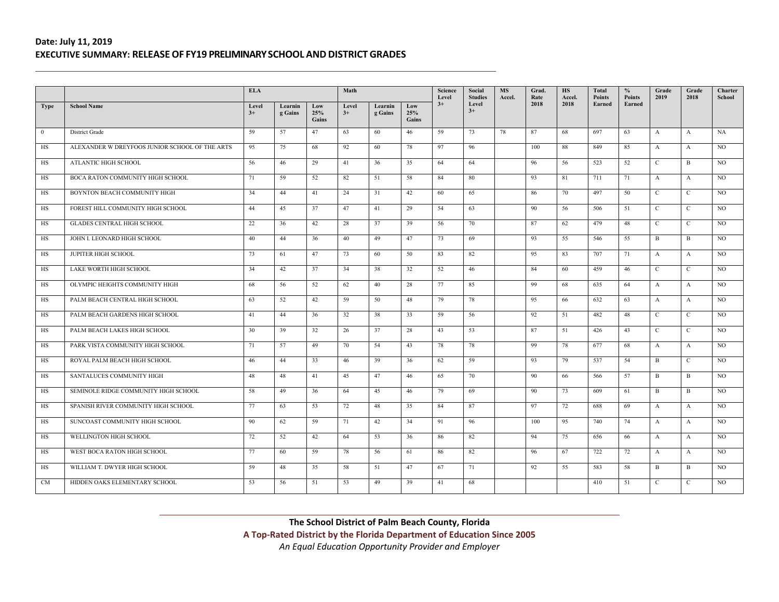|                |                                                | <b>ELA</b>    |                    |                     | Math          |                    |                     | Science<br>Level | Social<br><b>Studies</b> | <b>MS</b><br>Accel. | Grad.<br>Rate | <b>HS</b><br>Accel. | Total<br>Points | $\%$<br><b>Points</b> | Grade<br>2019 | Grade<br>2018 | Charter<br>School |
|----------------|------------------------------------------------|---------------|--------------------|---------------------|---------------|--------------------|---------------------|------------------|--------------------------|---------------------|---------------|---------------------|-----------------|-----------------------|---------------|---------------|-------------------|
| <b>Type</b>    | <b>School Name</b>                             | Level<br>$3+$ | Learnin<br>g Gains | Low<br>25%<br>Gains | Level<br>$3+$ | Learnin<br>g Gains | Low<br>25%<br>Gains | $3+$             | Level<br>$3+$            |                     | 2018          | 2018                | Earned          | Earned                |               |               |                   |
| $\overline{0}$ | District Grade                                 | 59            | 57                 | 47                  | 63            | 60                 | 46                  | 59               | 73                       | 78                  | 87            | 68                  | 697             | 63                    | $\mathbf{A}$  | A             | <b>NA</b>         |
| $_{\rm HS}$    | ALEXANDER W DREYFOOS JUNIOR SCHOOL OF THE ARTS | 95            | 75                 | 68                  | 92            | 60                 | 78                  | 97               | 96                       |                     | 100           | 88                  | 849             | 85                    | $\mathbf{A}$  | $\mathbf{A}$  | $_{\rm NO}$       |
| HS             | ATLANTIC HIGH SCHOOL                           | 56            | 46                 | 29                  | 41            | 36                 | 35                  | 64               | 64                       |                     | 96            | 56                  | 523             | 52                    | $\mathbf{C}$  | B             | NO                |
| HS             | BOCA RATON COMMUNITY HIGH SCHOOL               | 71            | 59                 | 52                  | 82            | 51                 | 58                  | 84               | 80                       |                     | 93            | 81                  | 711             | 71                    | $\mathbf{A}$  | $\mathbf{A}$  | NO.               |
| HS             | BOYNTON BEACH COMMUNITY HIGH                   | 34            | 44                 | 41                  | 24            | 31                 | 42                  | 60               | 65                       |                     | 86            | 70                  | 497             | 50                    | $\mathcal{C}$ | $\mathbf{C}$  | NO.               |
| HS             | FOREST HILL COMMUNITY HIGH SCHOOL              | 44            | 45                 | 37                  | 47            | 41                 | 29                  | 54               | 63                       |                     | 90            | 56                  | 506             | 51                    | $\mathbf C$   | $\mathbf{C}$  | NO.               |
| HS             | <b>GLADES CENTRAL HIGH SCHOOL</b>              | 22            | 36                 | 42                  | 28            | 37                 | 39                  | 56               | 70                       |                     | 87            | 62                  | 479             | 48                    | $\mathbf{C}$  | $\mathbf{C}$  | NO.               |
| HS             | JOHN I. LEONARD HIGH SCHOOL                    | 40            | 44                 | 36                  | 40            | 49                 | 47                  | 73               | 69                       |                     | 93            | 55                  | 546             | 55                    | B             | B             | NO.               |
| HS             | <b>JUPITER HIGH SCHOOL</b>                     | 73            | 61                 | 47                  | 73            | 60                 | 50                  | 83               | 82                       |                     | 95            | 83                  | 707             | 71                    | $\mathbf{A}$  | $\mathbf{A}$  | NO.               |
| <b>HS</b>      | LAKE WORTH HIGH SCHOOL                         | 34            | 42                 | 37                  | 34            | 38                 | 32                  | 52               | 46                       |                     | 84            | 60                  | 459             | 46                    | $\mathcal{C}$ | $\mathbf{C}$  | NO.               |
| HS             | OLYMPIC HEIGHTS COMMUNITY HIGH                 | 68            | 56                 | 52                  | 62            | 40                 | 28                  | 77               | 85                       |                     | 99            | 68                  | 635             | 64                    | $\mathbf{A}$  | $\mathbf{A}$  | $_{\rm NO}$       |
| HS             | PALM BEACH CENTRAL HIGH SCHOOL                 | 63            | 52                 | 42                  | 59            | 50                 | 48                  | 79               | 78                       |                     | 95            | 66                  | 632             | 63                    | $\mathbf{A}$  | $\mathbf{A}$  | NO.               |
| HS             | PALM BEACH GARDENS HIGH SCHOOL                 | 41            | 44                 | 36                  | 32            | 38                 | 33                  | 59               | 56                       |                     | 92            | 51                  | 482             | 48                    | $\mathbf C$   | $\mathbf{C}$  | NO.               |
| HS             | PALM BEACH LAKES HIGH SCHOOL                   | 30            | 39                 | 32                  | 26            | 37                 | 28                  | 43               | 53                       |                     | 87            | 51                  | 426             | 43                    | $\mathbf{C}$  | C             | NO.               |
| HS             | PARK VISTA COMMUNITY HIGH SCHOOL               | 71            | 57                 | 49                  | 70            | 54                 | 43                  | 78               | 78                       |                     | 99            | 78                  | 677             | 68                    | $\mathbf{A}$  | $\mathbf{A}$  | NO.               |
| $_{\rm HS}$    | ROYAL PALM BEACH HIGH SCHOOL                   | 46            | 44                 | 33                  | 46            | 39                 | 36                  | 62               | 59                       |                     | 93            | 79                  | 537             | 54                    | $\mathbf{B}$  | $\mathbf{C}$  | NO.               |
| HS             | SANTALUCES COMMUNITY HIGH                      | 48            | 48                 | 41                  | 45            | 47                 | 46                  | 65               | 70                       |                     | 90            | 66                  | 566             | 57                    | B             | B             | NO.               |
| HS             | SEMINOLE RIDGE COMMUNITY HIGH SCHOOL           | 58            | 49                 | 36                  | 64            | 45                 | 46                  | 79               | 69                       |                     | 90            | 73                  | 609             | 61                    | B             | $\mathbf{B}$  | NO.               |
| HS             | SPANISH RIVER COMMUNITY HIGH SCHOOL            | 77            | 63                 | 53                  | 72            | 48                 | 35                  | 84               | 87                       |                     | 97            | 72                  | 688             | 69                    | $\mathbf{A}$  | $\mathbf{A}$  | NO.               |
| HS             | SUNCOAST COMMUNITY HIGH SCHOOL                 | 90            | 62                 | 59                  | 71            | 42                 | 34                  | 91               | 96                       |                     | 100           | 95                  | 740             | 74                    | $\mathbf{A}$  | $\mathbf{A}$  | $_{\rm NO}$       |
| $_{\rm HS}$    | WELLINGTON HIGH SCHOOL                         | 72            | 52                 | 42                  | 64            | 53                 | 36                  | 86               | 82                       |                     | 94            | 75                  | 656             | 66                    | $\mathbf{A}$  | $\mathbf{A}$  | $_{\rm NO}$       |
| HS             | WEST BOCA RATON HIGH SCHOOL                    | 77            | 60                 | 59                  | 78            | 56                 | 61                  | 86               | 82                       |                     | 96            | 67                  | 722             | 72                    | $\mathbf{A}$  | $\mathbf{A}$  | NO.               |
| HS             | WILLIAM T. DWYER HIGH SCHOOL                   | 59            | 48                 | 35                  | 58            | 51                 | 47                  | 67               | 71                       |                     | 92            | 55                  | 583             | 58                    | B             | B             | NO.               |
| CM             | HIDDEN OAKS ELEMENTARY SCHOOL                  | 53            | 56                 | 51                  | 53            | 49                 | 39                  | 41               | 68                       |                     |               |                     | 410             | 51                    | $\mathbf{C}$  | $\mathbf{C}$  | NO.               |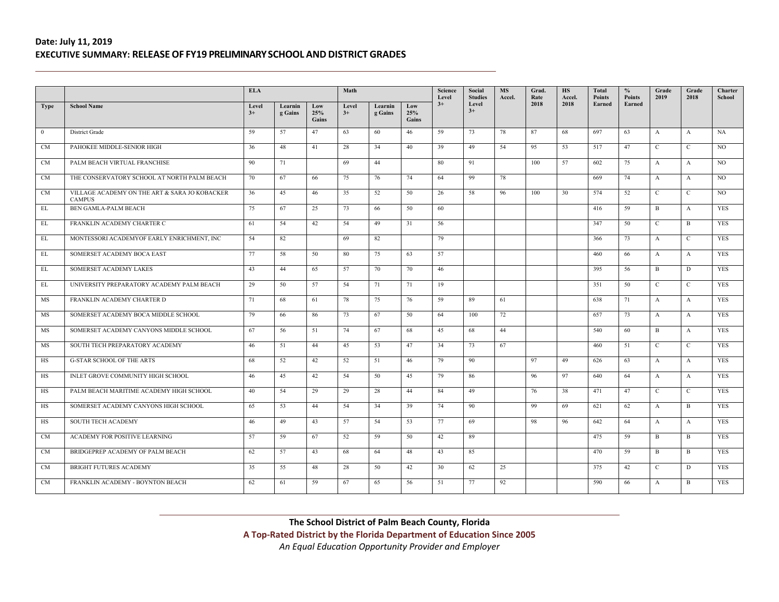|                |                                                                | <b>ELA</b>    |                    |                     | Math          |                    |                     | Science<br>Level | Social<br><b>Studies</b> | <b>MS</b><br>Accel. | Grad.<br>Rate | <b>HS</b><br>Accel. | Total<br><b>Points</b> | $\%$<br><b>Points</b> | Grade<br>2019 | Grade<br>2018 | Charter<br>School |
|----------------|----------------------------------------------------------------|---------------|--------------------|---------------------|---------------|--------------------|---------------------|------------------|--------------------------|---------------------|---------------|---------------------|------------------------|-----------------------|---------------|---------------|-------------------|
| <b>Type</b>    | <b>School Name</b>                                             | Level<br>$3+$ | Learnin<br>g Gains | Low<br>25%<br>Gains | Level<br>$3+$ | Learnin<br>g Gains | Low<br>25%<br>Gains | $3+$             | Level<br>$3+$            |                     | 2018          | 2018                | Earned                 | Earned                |               |               |                   |
| $\overline{0}$ | District Grade                                                 | 59            | 57                 | 47                  | 63            | 60                 | 46                  | 59               | 73                       | 78                  | 87            | 68                  | 697                    | 63                    | $\mathbf{A}$  | $\mathbf{A}$  | <b>NA</b>         |
| <b>CM</b>      | PAHOKEE MIDDLE-SENIOR HIGH                                     | 36            | 48                 | 41                  | 28            | 34                 | 40                  | 39               | 49                       | 54                  | 95            | 53                  | 517                    | 47                    | $\mathbf{C}$  | $\mathbf{C}$  | NO                |
| <b>CM</b>      | PALM BEACH VIRTUAL FRANCHISE                                   | 90            | 71                 |                     | 69            | 44                 |                     | 80               | 91                       |                     | 100           | 57                  | 602                    | 75                    | A             | A             | NO                |
| CM             | THE CONSERVATORY SCHOOL AT NORTH PALM BEACH                    | 70            | 67                 | 66                  | 75            | 76                 | 74                  | 64               | 99                       | 78                  |               |                     | 669                    | 74                    | $\mathbf{A}$  | $\mathbf{A}$  | NO                |
| <b>CM</b>      | VILLAGE ACADEMY ON THE ART & SARA JO KOBACKER<br><b>CAMPUS</b> | 36            | 45                 | 46                  | 35            | 52                 | 50                  | 26               | 58                       | 96                  | 100           | 30                  | 574                    | 52                    | $\mathbf{C}$  | $\mathbf{C}$  | NO                |
| EL             | BEN GAMLA-PALM BEACH                                           | 75            | 67                 | 25                  | 73            | 66                 | 50                  | 60               |                          |                     |               |                     | 416                    | 59                    | $\mathbf{B}$  | $\mathbf{A}$  | <b>YES</b>        |
| EL             | FRANKLIN ACADEMY CHARTER C                                     | 61            | 54                 | 42                  | 54            | 49                 | 31                  | 56               |                          |                     |               |                     | 347                    | 50                    | $\mathcal{C}$ | B             | <b>YES</b>        |
| EL             | MONTESSORI ACADEMYOF EARLY ENRICHMENT, INC                     | 54            | 82                 |                     | 69            | 82                 |                     | 79               |                          |                     |               |                     | 366                    | 73                    | $\mathbf{A}$  | $\mathbf{C}$  | <b>YES</b>        |
| EL             | SOMERSET ACADEMY BOCA EAST                                     | 77            | 58                 | 50                  | 80            | 75                 | 63                  | 57               |                          |                     |               |                     | 460                    | 66                    | $\mathbf{A}$  | $\mathbf{A}$  | <b>YES</b>        |
| EL             | SOMERSET ACADEMY LAKES                                         | 43            | 44                 | 65                  | 57            | 70                 | 70                  | 46               |                          |                     |               |                     | 395                    | 56                    | B             | D             | <b>YES</b>        |
| EL             | UNIVERSITY PREPARATORY ACADEMY PALM BEACH                      | 29            | 50                 | 57                  | 54            | 71                 | 71                  | 19               |                          |                     |               |                     | 351                    | 50                    | $\mathbf{C}$  | $\mathbf{C}$  | <b>YES</b>        |
| MS             | FRANKLIN ACADEMY CHARTER D                                     | 71            | 68                 | 61                  | 78            | 75                 | 76                  | 59               | 89                       | 61                  |               |                     | 638                    | 71                    | $\mathbf{A}$  | $\mathbf{A}$  | <b>YES</b>        |
| MS             | SOMERSET ACADEMY BOCA MIDDLE SCHOOL                            | 79            | 66                 | 86                  | 73            | 67                 | 50                  | 64               | 100                      | 72                  |               |                     | 657                    | 73                    | $\mathbf{A}$  | $\mathbf{A}$  | <b>YES</b>        |
| MS             | SOMERSET ACADEMY CANYONS MIDDLE SCHOOL                         | 67            | 56                 | 51                  | 74            | 67                 | 68                  | 45               | 68                       | 44                  |               |                     | 540                    | 60                    | B             | $\mathbf{A}$  | <b>YES</b>        |
| MS             | SOUTH TECH PREPARATORY ACADEMY                                 | 46            | 51                 | 44                  | 45            | 53                 | 47                  | 34               | 73                       | 67                  |               |                     | 460                    | 51                    | $\mathbf{C}$  | $\mathbf{C}$  | <b>YES</b>        |
| HS             | <b>G-STAR SCHOOL OF THE ARTS</b>                               | 68            | 52                 | 42                  | 52            | 51                 | 46                  | 79               | 90                       |                     | 97            | 49                  | 626                    | 63                    | $\mathbf{A}$  | $\mathbf{A}$  | <b>YES</b>        |
| HS             | INLET GROVE COMMUNITY HIGH SCHOOL                              | 46            | 45                 | 42                  | 54            | 50                 | 45                  | 79               | 86                       |                     | 96            | 97                  | 640                    | 64                    | $\mathbf{A}$  | $\mathbf{A}$  | <b>YES</b>        |
| HS             | PALM BEACH MARITIME ACADEMY HIGH SCHOOL                        | 40            | 54                 | 29                  | 29            | 28                 | 44                  | 84               | 49                       |                     | 76            | 38                  | 471                    | 47                    | $\mathbf{C}$  | $\mathbf{C}$  | <b>YES</b>        |
| HS             | SOMERSET ACADEMY CANYONS HIGH SCHOOL                           | 65            | 53                 | 44                  | 54            | 34                 | 39                  | 74               | 90                       |                     | 99            | 69                  | 621                    | 62                    | $\mathbf{A}$  | B             | <b>YES</b>        |
| HS             | <b>SOUTH TECH ACADEMY</b>                                      | 46            | 49                 | 43                  | 57            | 54                 | 53                  | 77               | 69                       |                     | 98            | 96                  | 642                    | 64                    | $\mathbf{A}$  | $\mathbf{A}$  | <b>YES</b>        |
| CM             | ACADEMY FOR POSITIVE LEARNING                                  | 57            | 59                 | 67                  | 52            | 59                 | 50                  | 42               | 89                       |                     |               |                     | 475                    | 59                    | B             | B             | <b>YES</b>        |
| <b>CM</b>      | BRIDGEPREP ACADEMY OF PALM BEACH                               | 62            | 57                 | 43                  | 68            | 64                 | 48                  | 43               | 85                       |                     |               |                     | 470                    | 59                    | B             | B             | <b>YES</b>        |
| <b>CM</b>      | <b>BRIGHT FUTURES ACADEMY</b>                                  | 35            | 55                 | 48                  | 28            | 50                 | 42                  | 30               | 62                       | 25                  |               |                     | 375                    | 42                    | $\mathbf{C}$  | D             | YES               |
| <b>CM</b>      | FRANKLIN ACADEMY - BOYNTON BEACH                               | 62            | 61                 | 59                  | 67            | 65                 | 56                  | 51               | 77                       | 92                  |               |                     | 590                    | 66                    | $\mathbf{A}$  | B             | <b>YES</b>        |